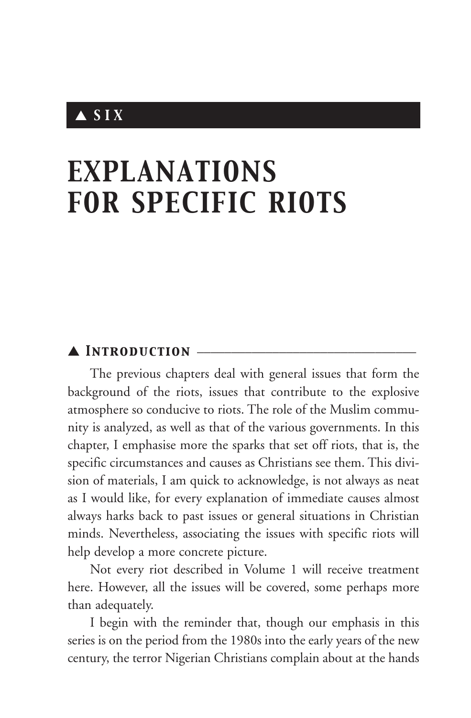## ▲ *SIX*

# *EXPLANATIONS FOR SPECIFIC RIOTS*

## ▲ *Introduction* \_\_\_\_\_\_\_\_\_\_\_\_\_\_\_\_\_\_\_\_\_\_\_\_\_\_\_\_\_\_\_\_

The previous chapters deal with general issues that form the background of the riots, issues that contribute to the explosive atmosphere so conducive to riots. The role of the Muslim community is analyzed, as well as that of the various governments. In this chapter, I emphasise more the sparks that set off riots, that is, the specific circumstances and causes as Christians see them. This division of materials, I am quick to acknowledge, is not always as neat as I would like, for every explanation of immediate causes almost always harks back to past issues or general situations in Christian minds. Nevertheless, associating the issues with specific riots will help develop a more concrete picture.

Not every riot described in Volume 1 will receive treatment here. However, all the issues will be covered, some perhaps more than adequately.

I begin with the reminder that, though our emphasis in this series is on the period from the 1980s into the early years of the new century, the terror Nigerian Christians complain about at the hands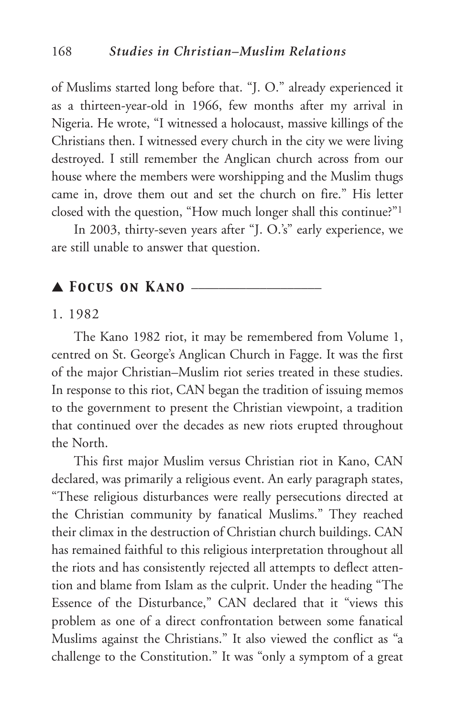of Muslims started long before that. "J. O." already experienced it as a thirteen-year-old in 1966, few months after my arrival in Nigeria. He wrote, "I witnessed a holocaust, massive killings of the Christians then. I witnessed every church in the city we were living destroyed. I still remember the Anglican church across from our house where the members were worshipping and the Muslim thugs came in, drove them out and set the church on fire." His letter closed with the question, "How much longer shall this continue?"1

In 2003, thirty-seven years after "J. O.'s" early experience, we are still unable to answer that question.

### ▲ *Focus on Kano* \_\_\_\_\_\_\_\_\_\_\_\_\_\_\_\_\_\_\_

#### 1. 1982

The Kano 1982 riot, it may be remembered from Volume 1, centred on St. George's Anglican Church in Fagge. It was the first of the major Christian–Muslim riot series treated in these studies. In response to this riot, CAN began the tradition of issuing memos to the government to present the Christian viewpoint, a tradition that continued over the decades as new riots erupted throughout the North.

This first major Muslim versus Christian riot in Kano, CAN declared, was primarily a religious event. An early paragraph states, "These religious disturbances were really persecutions directed at the Christian community by fanatical Muslims." They reached their climax in the destruction of Christian church buildings. CAN has remained faithful to this religious interpretation throughout all the riots and has consistently rejected all attempts to deflect attention and blame from Islam as the culprit. Under the heading "The Essence of the Disturbance," CAN declared that it "views this problem as one of a direct confrontation between some fanatical Muslims against the Christians." It also viewed the conflict as "a challenge to the Constitution." It was "only a symptom of a great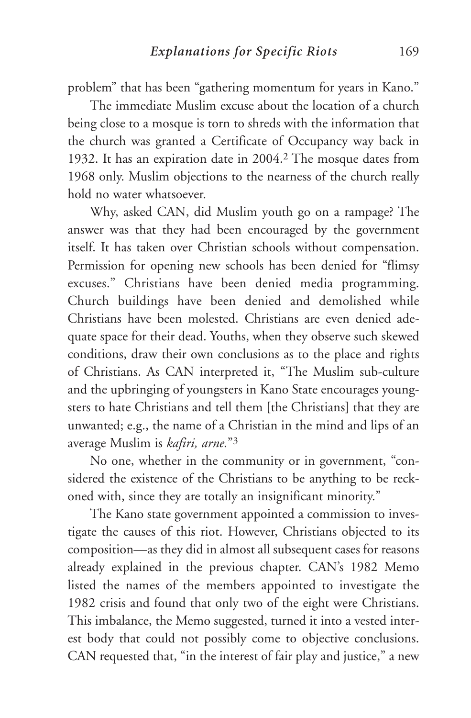problem" that has been "gathering momentum for years in Kano."

The immediate Muslim excuse about the location of a church being close to a mosque is torn to shreds with the information that the church was granted a Certificate of Occupancy way back in 1932. It has an expiration date in 2004.2 The mosque dates from 1968 only. Muslim objections to the nearness of the church really hold no water whatsoever.

Why, asked CAN, did Muslim youth go on a rampage? The answer was that they had been encouraged by the government itself. It has taken over Christian schools without compensation. Permission for opening new schools has been denied for "flimsy excuses." Christians have been denied media programming. Church buildings have been denied and demolished while Christians have been molested. Christians are even denied adequate space for their dead. Youths, when they observe such skewed conditions, draw their own conclusions as to the place and rights of Christians. As CAN interpreted it, "The Muslim sub-culture and the upbringing of youngsters in Kano State encourages youngsters to hate Christians and tell them [the Christians] that they are unwanted; e.g., the name of a Christian in the mind and lips of an average Muslim is *kafiri, arne.*"3

No one, whether in the community or in government, "considered the existence of the Christians to be anything to be reckoned with, since they are totally an insignificant minority."

The Kano state government appointed a commission to investigate the causes of this riot. However, Christians objected to its composition—as they did in almost all subsequent cases for reasons already explained in the previous chapter. CAN's 1982 Memo listed the names of the members appointed to investigate the 1982 crisis and found that only two of the eight were Christians. This imbalance, the Memo suggested, turned it into a vested interest body that could not possibly come to objective conclusions. CAN requested that, "in the interest of fair play and justice," a new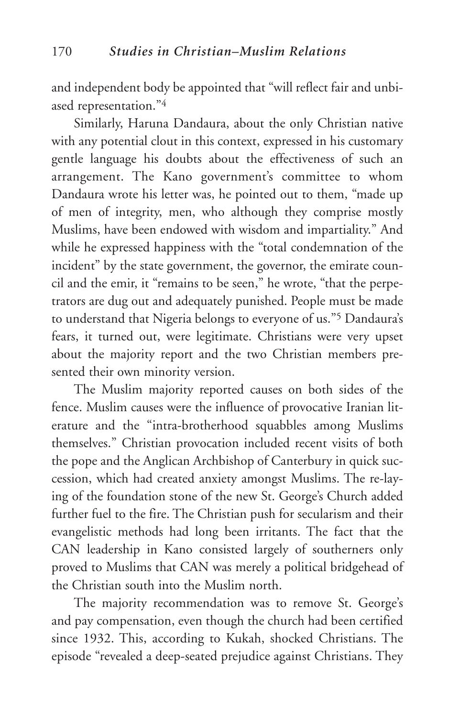and independent body be appointed that "will reflect fair and unbiased representation."4

Similarly, Haruna Dandaura, about the only Christian native with any potential clout in this context, expressed in his customary gentle language his doubts about the effectiveness of such an arrangement. The Kano government's committee to whom Dandaura wrote his letter was, he pointed out to them, "made up of men of integrity, men, who although they comprise mostly Muslims, have been endowed with wisdom and impartiality." And while he expressed happiness with the "total condemnation of the incident" by the state government, the governor, the emirate council and the emir, it "remains to be seen," he wrote, "that the perpetrators are dug out and adequately punished. People must be made to understand that Nigeria belongs to everyone of us."5 Dandaura's fears, it turned out, were legitimate. Christians were very upset about the majority report and the two Christian members presented their own minority version.

The Muslim majority reported causes on both sides of the fence. Muslim causes were the influence of provocative Iranian literature and the "intra-brotherhood squabbles among Muslims themselves." Christian provocation included recent visits of both the pope and the Anglican Archbishop of Canterbury in quick succession, which had created anxiety amongst Muslims. The re-laying of the foundation stone of the new St. George's Church added further fuel to the fire. The Christian push for secularism and their evangelistic methods had long been irritants. The fact that the CAN leadership in Kano consisted largely of southerners only proved to Muslims that CAN was merely a political bridgehead of the Christian south into the Muslim north.

The majority recommendation was to remove St. George's and pay compensation, even though the church had been certified since 1932. This, according to Kukah, shocked Christians. The episode "revealed a deep-seated prejudice against Christians. They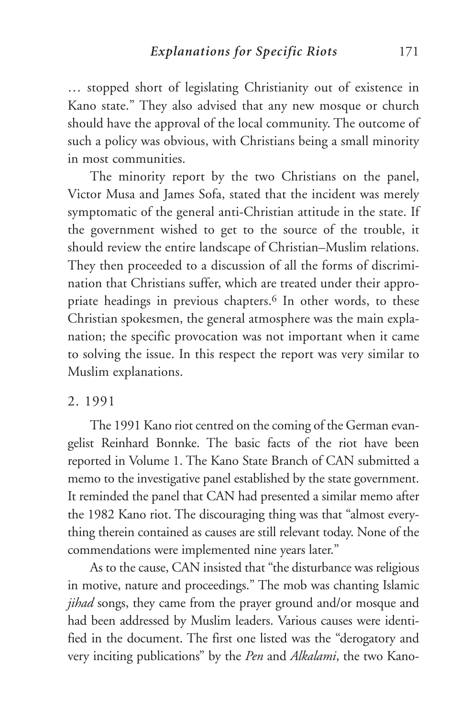… stopped short of legislating Christianity out of existence in Kano state." They also advised that any new mosque or church should have the approval of the local community. The outcome of such a policy was obvious, with Christians being a small minority in most communities.

The minority report by the two Christians on the panel, Victor Musa and James Sofa, stated that the incident was merely symptomatic of the general anti-Christian attitude in the state. If the government wished to get to the source of the trouble, it should review the entire landscape of Christian–Muslim relations. They then proceeded to a discussion of all the forms of discrimination that Christians suffer, which are treated under their appropriate headings in previous chapters.<sup>6</sup> In other words, to these Christian spokesmen, the general atmosphere was the main explanation; the specific provocation was not important when it came to solving the issue. In this respect the report was very similar to Muslim explanations.

### 2. 1991

The 1991 Kano riot centred on the coming of the German evangelist Reinhard Bonnke. The basic facts of the riot have been reported in Volume 1. The Kano State Branch of CAN submitted a memo to the investigative panel established by the state government. It reminded the panel that CAN had presented a similar memo after the 1982 Kano riot. The discouraging thing was that "almost everything therein contained as causes are still relevant today. None of the commendations were implemented nine years later."

As to the cause, CAN insisted that "the disturbance was religious in motive, nature and proceedings." The mob was chanting Islamic *jihad* songs, they came from the prayer ground and/or mosque and had been addressed by Muslim leaders. Various causes were identified in the document. The first one listed was the "derogatory and very inciting publications" by the *Pen* and *Alkalami*, the two Kano-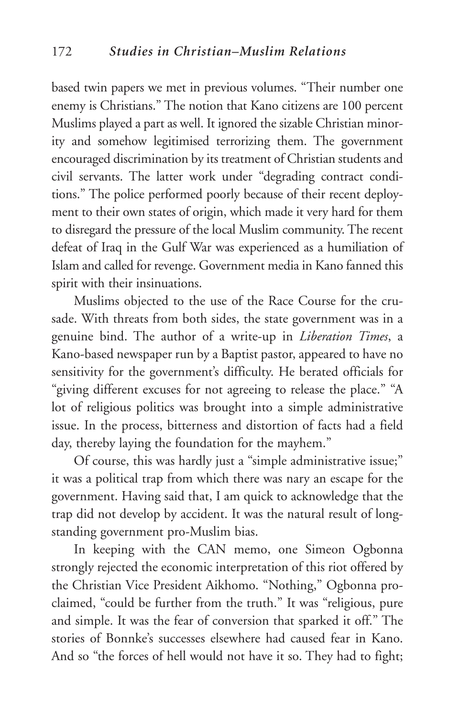based twin papers we met in previous volumes. "Their number one enemy is Christians." The notion that Kano citizens are 100 percent Muslims played a part as well. It ignored the sizable Christian minority and somehow legitimised terrorizing them. The government encouraged discrimination by its treatment of Christian students and civil servants. The latter work under "degrading contract conditions." The police performed poorly because of their recent deployment to their own states of origin, which made it very hard for them to disregard the pressure of the local Muslim community. The recent defeat of Iraq in the Gulf War was experienced as a humiliation of Islam and called for revenge. Government media in Kano fanned this spirit with their insinuations.

Muslims objected to the use of the Race Course for the crusade. With threats from both sides, the state government was in a genuine bind. The author of a write-up in *Liberation Times*, a Kano-based newspaper run by a Baptist pastor, appeared to have no sensitivity for the government's difficulty. He berated officials for "giving different excuses for not agreeing to release the place." "A lot of religious politics was brought into a simple administrative issue. In the process, bitterness and distortion of facts had a field day, thereby laying the foundation for the mayhem."

Of course, this was hardly just a "simple administrative issue;" it was a political trap from which there was nary an escape for the government. Having said that, I am quick to acknowledge that the trap did not develop by accident. It was the natural result of longstanding government pro-Muslim bias.

In keeping with the CAN memo, one Simeon Ogbonna strongly rejected the economic interpretation of this riot offered by the Christian Vice President Aikhomo. "Nothing," Ogbonna proclaimed, "could be further from the truth." It was "religious, pure and simple. It was the fear of conversion that sparked it off." The stories of Bonnke's successes elsewhere had caused fear in Kano. And so "the forces of hell would not have it so. They had to fight;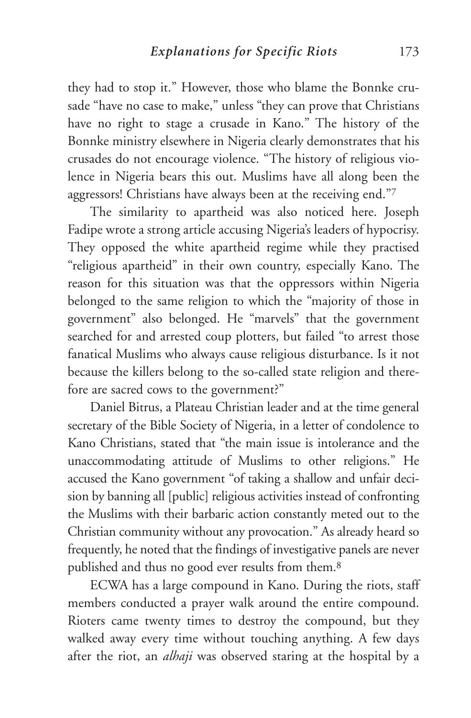they had to stop it." However, those who blame the Bonnke crusade "have no case to make," unless "they can prove that Christians have no right to stage a crusade in Kano." The history of the Bonnke ministry elsewhere in Nigeria clearly demonstrates that his crusades do not encourage violence. "The history of religious violence in Nigeria bears this out. Muslims have all along been the aggressors! Christians have always been at the receiving end."7

The similarity to apartheid was also noticed here. Joseph Fadipe wrote a strong article accusing Nigeria's leaders of hypocrisy. They opposed the white apartheid regime while they practised "religious apartheid" in their own country, especially Kano. The reason for this situation was that the oppressors within Nigeria belonged to the same religion to which the "majority of those in government" also belonged. He "marvels" that the government searched for and arrested coup plotters, but failed "to arrest those fanatical Muslims who always cause religious disturbance. Is it not because the killers belong to the so-called state religion and therefore are sacred cows to the government?"

Daniel Bitrus, a Plateau Christian leader and at the time general secretary of the Bible Society of Nigeria, in a letter of condolence to Kano Christians, stated that "the main issue is intolerance and the unaccommodating attitude of Muslims to other religions." He accused the Kano government "of taking a shallow and unfair decision by banning all [public] religious activities instead of confronting the Muslims with their barbaric action constantly meted out to the Christian community without any provocation." As already heard so frequently, he noted that the findings of investigative panels are never published and thus no good ever results from them.8

ECWA has a large compound in Kano. During the riots, staff members conducted a prayer walk around the entire compound. Rioters came twenty times to destroy the compound, but they walked away every time without touching anything. A few days after the riot, an *alhaji* was observed staring at the hospital by a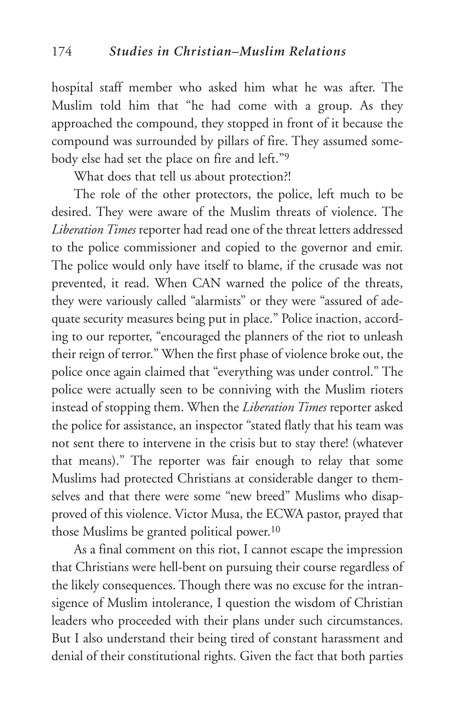hospital staff member who asked him what he was after. The Muslim told him that "he had come with a group. As they approached the compound, they stopped in front of it because the compound was surrounded by pillars of fire. They assumed somebody else had set the place on fire and left."9

What does that tell us about protection?!

The role of the other protectors, the police, left much to be desired. They were aware of the Muslim threats of violence. The *Liberation Times* reporter had read one of the threat letters addressed to the police commissioner and copied to the governor and emir. The police would only have itself to blame, if the crusade was not prevented, it read. When CAN warned the police of the threats, they were variously called "alarmists" or they were "assured of adequate security measures being put in place." Police inaction, according to our reporter, "encouraged the planners of the riot to unleash their reign of terror." When the first phase of violence broke out, the police once again claimed that "everything was under control." The police were actually seen to be conniving with the Muslim rioters instead of stopping them. When the *Liberation Times* reporter asked the police for assistance, an inspector "stated flatly that his team was not sent there to intervene in the crisis but to stay there! (whatever that means)." The reporter was fair enough to relay that some Muslims had protected Christians at considerable danger to themselves and that there were some "new breed" Muslims who disapproved of this violence. Victor Musa, the ECWA pastor, prayed that those Muslims be granted political power.10

As a final comment on this riot, I cannot escape the impression that Christians were hell-bent on pursuing their course regardless of the likely consequences. Though there was no excuse for the intransigence of Muslim intolerance, I question the wisdom of Christian leaders who proceeded with their plans under such circumstances. But I also understand their being tired of constant harassment and denial of their constitutional rights. Given the fact that both parties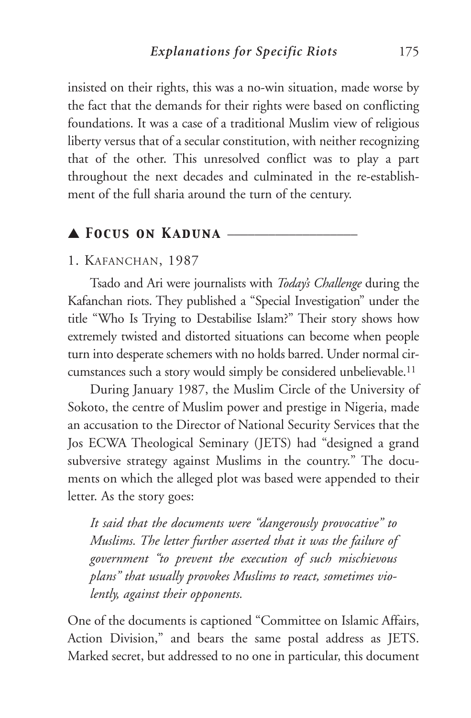insisted on their rights, this was a no-win situation, made worse by the fact that the demands for their rights were based on conflicting foundations. It was a case of a traditional Muslim view of religious liberty versus that of a secular constitution, with neither recognizing that of the other. This unresolved conflict was to play a part throughout the next decades and culminated in the re-establishment of the full sharia around the turn of the century.

## ▲ *Focus on Kaduna* \_\_\_\_\_\_\_\_\_\_\_\_\_\_\_\_\_\_\_

## 1. KAFANCHAN, 1987

Tsado and Ari were journalists with *Today's Challenge* during the Kafanchan riots. They published a "Special Investigation" under the title "Who Is Trying to Destabilise Islam?" Their story shows how extremely twisted and distorted situations can become when people turn into desperate schemers with no holds barred. Under normal circumstances such a story would simply be considered unbelievable.11

During January 1987, the Muslim Circle of the University of Sokoto, the centre of Muslim power and prestige in Nigeria, made an accusation to the Director of National Security Services that the Jos ECWA Theological Seminary (JETS) had "designed a grand subversive strategy against Muslims in the country." The documents on which the alleged plot was based were appended to their letter. As the story goes:

*It said that the documents were "dangerously provocative" to Muslims. The letter further asserted that it was the failure of government "to prevent the execution of such mischievous plans" that usually provokes Muslims to react, sometimes violently, against their opponents.* 

One of the documents is captioned "Committee on Islamic Affairs, Action Division," and bears the same postal address as JETS. Marked secret, but addressed to no one in particular, this document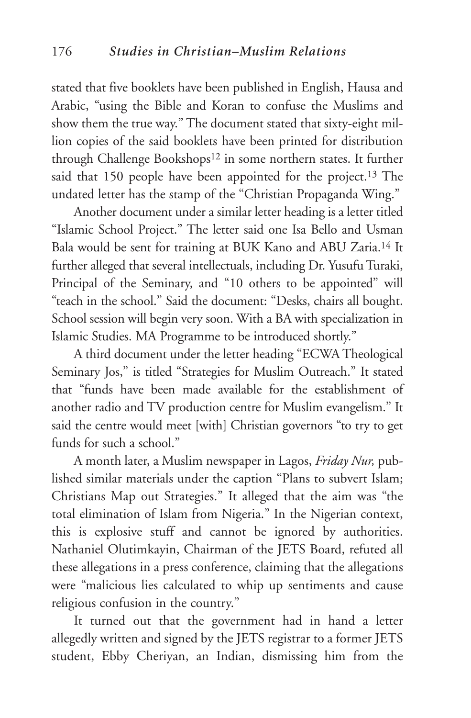stated that five booklets have been published in English, Hausa and Arabic, "using the Bible and Koran to confuse the Muslims and show them the true way." The document stated that sixty-eight million copies of the said booklets have been printed for distribution through Challenge Bookshops<sup>12</sup> in some northern states. It further said that 150 people have been appointed for the project.<sup>13</sup> The undated letter has the stamp of the "Christian Propaganda Wing."

Another document under a similar letter heading is a letter titled "Islamic School Project." The letter said one Isa Bello and Usman Bala would be sent for training at BUK Kano and ABU Zaria.14 It further alleged that several intellectuals, including Dr. Yusufu Turaki, Principal of the Seminary, and "10 others to be appointed" will "teach in the school." Said the document: "Desks, chairs all bought. School session will begin very soon. With a BA with specialization in Islamic Studies. MA Programme to be introduced shortly."

A third document under the letter heading "ECWA Theological Seminary Jos," is titled "Strategies for Muslim Outreach." It stated that "funds have been made available for the establishment of another radio and TV production centre for Muslim evangelism." It said the centre would meet [with] Christian governors "to try to get funds for such a school."

A month later, a Muslim newspaper in Lagos, *Friday Nur,* published similar materials under the caption "Plans to subvert Islam; Christians Map out Strategies." It alleged that the aim was "the total elimination of Islam from Nigeria." In the Nigerian context, this is explosive stuff and cannot be ignored by authorities. Nathaniel Olutimkayin, Chairman of the JETS Board, refuted all these allegations in a press conference, claiming that the allegations were "malicious lies calculated to whip up sentiments and cause religious confusion in the country."

It turned out that the government had in hand a letter allegedly written and signed by the JETS registrar to a former JETS student, Ebby Cheriyan, an Indian, dismissing him from the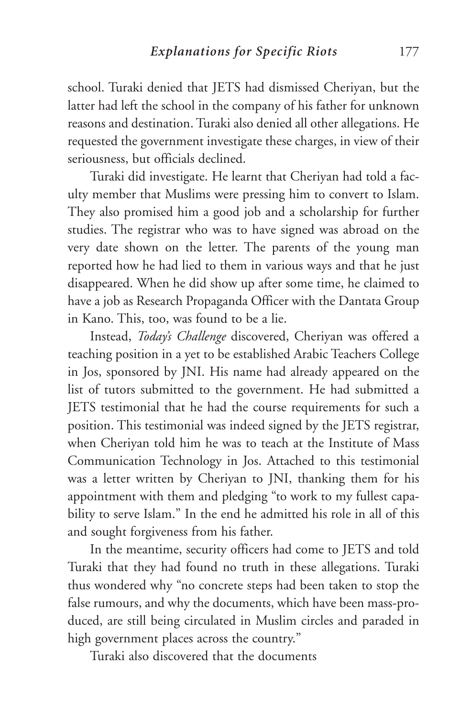school. Turaki denied that JETS had dismissed Cheriyan, but the latter had left the school in the company of his father for unknown reasons and destination. Turaki also denied all other allegations. He requested the government investigate these charges, in view of their seriousness, but officials declined.

Turaki did investigate. He learnt that Cheriyan had told a faculty member that Muslims were pressing him to convert to Islam. They also promised him a good job and a scholarship for further studies. The registrar who was to have signed was abroad on the very date shown on the letter. The parents of the young man reported how he had lied to them in various ways and that he just disappeared. When he did show up after some time, he claimed to have a job as Research Propaganda Officer with the Dantata Group in Kano. This, too, was found to be a lie.

Instead, *Today's Challenge* discovered, Cheriyan was offered a teaching position in a yet to be established Arabic Teachers College in Jos, sponsored by JNI. His name had already appeared on the list of tutors submitted to the government. He had submitted a JETS testimonial that he had the course requirements for such a position. This testimonial was indeed signed by the JETS registrar, when Cheriyan told him he was to teach at the Institute of Mass Communication Technology in Jos. Attached to this testimonial was a letter written by Cheriyan to JNI, thanking them for his appointment with them and pledging "to work to my fullest capability to serve Islam." In the end he admitted his role in all of this and sought forgiveness from his father.

In the meantime, security officers had come to JETS and told Turaki that they had found no truth in these allegations. Turaki thus wondered why "no concrete steps had been taken to stop the false rumours, and why the documents, which have been mass-produced, are still being circulated in Muslim circles and paraded in high government places across the country."

Turaki also discovered that the documents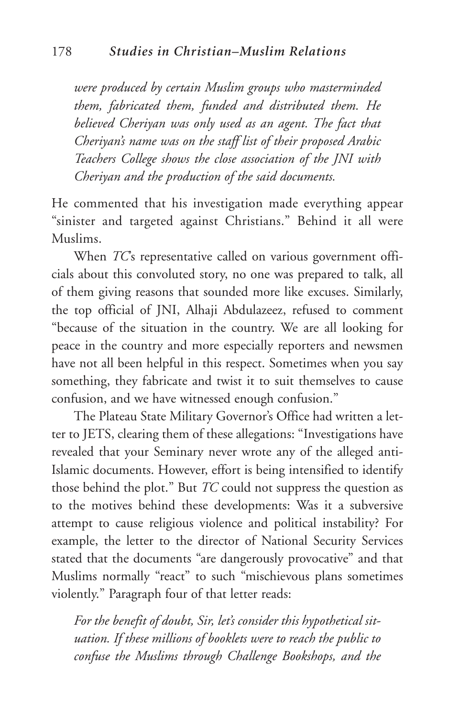*were produced by certain Muslim groups who masterminded them, fabricated them, funded and distributed them. He believed Cheriyan was only used as an agent. The fact that Cheriyan's name was on the staff list of their proposed Arabic Teachers College shows the close association of the JNI with Cheriyan and the production of the said documents.* 

He commented that his investigation made everything appear "sinister and targeted against Christians." Behind it all were Muslims.

When *TC*'s representative called on various government officials about this convoluted story, no one was prepared to talk, all of them giving reasons that sounded more like excuses. Similarly, the top official of JNI, Alhaji Abdulazeez, refused to comment "because of the situation in the country. We are all looking for peace in the country and more especially reporters and newsmen have not all been helpful in this respect. Sometimes when you say something, they fabricate and twist it to suit themselves to cause confusion, and we have witnessed enough confusion."

The Plateau State Military Governor's Office had written a letter to JETS, clearing them of these allegations: "Investigations have revealed that your Seminary never wrote any of the alleged anti-Islamic documents. However, effort is being intensified to identify those behind the plot." But *TC* could not suppress the question as to the motives behind these developments: Was it a subversive attempt to cause religious violence and political instability? For example, the letter to the director of National Security Services stated that the documents "are dangerously provocative" and that Muslims normally "react" to such "mischievous plans sometimes violently." Paragraph four of that letter reads:

*For the benefit of doubt, Sir, let's consider this hypothetical situation. If these millions of booklets were to reach the public to confuse the Muslims through Challenge Bookshops, and the*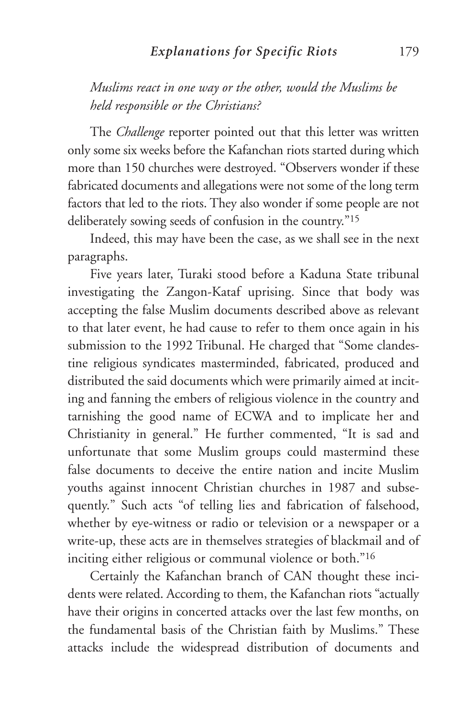## *Explanations for Specific Riots* 179

*Muslims react in one way or the other, would the Muslims be held responsible or the Christians?*

The *Challenge* reporter pointed out that this letter was written only some six weeks before the Kafanchan riots started during which more than 150 churches were destroyed. "Observers wonder if these fabricated documents and allegations were not some of the long term factors that led to the riots. They also wonder if some people are not deliberately sowing seeds of confusion in the country."15

Indeed, this may have been the case, as we shall see in the next paragraphs.

Five years later, Turaki stood before a Kaduna State tribunal investigating the Zangon-Kataf uprising. Since that body was accepting the false Muslim documents described above as relevant to that later event, he had cause to refer to them once again in his submission to the 1992 Tribunal. He charged that "Some clandestine religious syndicates masterminded, fabricated, produced and distributed the said documents which were primarily aimed at inciting and fanning the embers of religious violence in the country and tarnishing the good name of ECWA and to implicate her and Christianity in general." He further commented, "It is sad and unfortunate that some Muslim groups could mastermind these false documents to deceive the entire nation and incite Muslim youths against innocent Christian churches in 1987 and subsequently." Such acts "of telling lies and fabrication of falsehood, whether by eye-witness or radio or television or a newspaper or a write-up, these acts are in themselves strategies of blackmail and of inciting either religious or communal violence or both."16

Certainly the Kafanchan branch of CAN thought these incidents were related. According to them, the Kafanchan riots "actually have their origins in concerted attacks over the last few months, on the fundamental basis of the Christian faith by Muslims." These attacks include the widespread distribution of documents and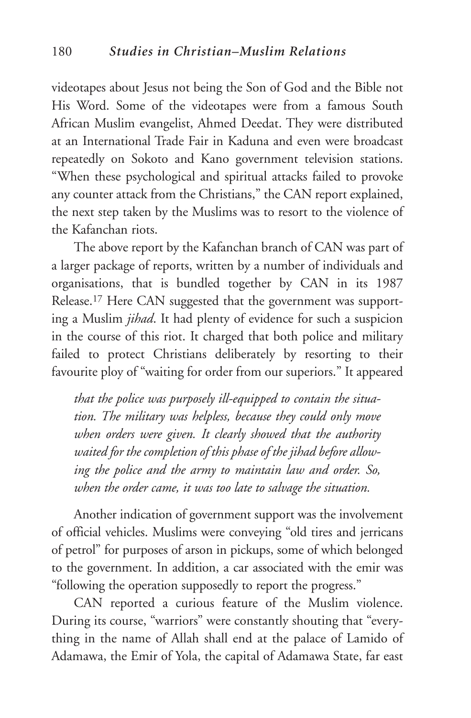videotapes about Jesus not being the Son of God and the Bible not His Word. Some of the videotapes were from a famous South African Muslim evangelist, Ahmed Deedat. They were distributed at an International Trade Fair in Kaduna and even were broadcast repeatedly on Sokoto and Kano government television stations. "When these psychological and spiritual attacks failed to provoke any counter attack from the Christians," the CAN report explained, the next step taken by the Muslims was to resort to the violence of the Kafanchan riots.

The above report by the Kafanchan branch of CAN was part of a larger package of reports, written by a number of individuals and organisations, that is bundled together by CAN in its 1987 Release.17 Here CAN suggested that the government was supporting a Muslim *jihad*. It had plenty of evidence for such a suspicion in the course of this riot. It charged that both police and military failed to protect Christians deliberately by resorting to their favourite ploy of "waiting for order from our superiors." It appeared

*that the police was purposely ill-equipped to contain the situation. The military was helpless, because they could only move when orders were given. It clearly showed that the authority waited for the completion of this phase of the jihad before allowing the police and the army to maintain law and order. So, when the order came, it was too late to salvage the situation.*

Another indication of government support was the involvement of official vehicles. Muslims were conveying "old tires and jerricans of petrol" for purposes of arson in pickups, some of which belonged to the government. In addition, a car associated with the emir was "following the operation supposedly to report the progress."

CAN reported a curious feature of the Muslim violence. During its course, "warriors" were constantly shouting that "everything in the name of Allah shall end at the palace of Lamido of Adamawa, the Emir of Yola, the capital of Adamawa State, far east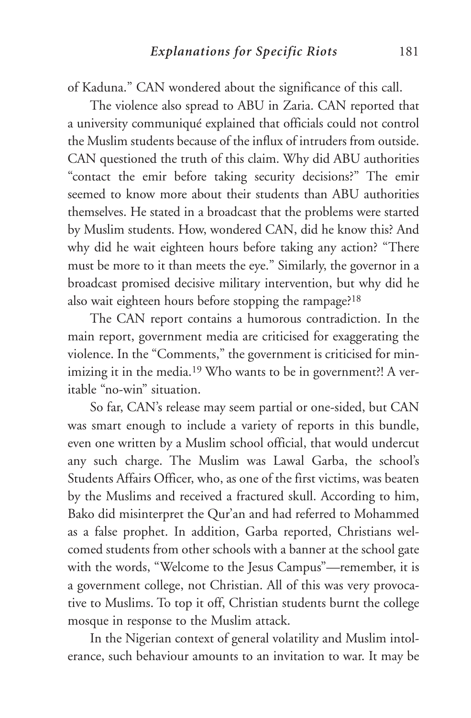of Kaduna." CAN wondered about the significance of this call.

The violence also spread to ABU in Zaria. CAN reported that a university communiqué explained that officials could not control the Muslim students because of the influx of intruders from outside. CAN questioned the truth of this claim. Why did ABU authorities "contact the emir before taking security decisions?" The emir seemed to know more about their students than ABU authorities themselves. He stated in a broadcast that the problems were started by Muslim students. How, wondered CAN, did he know this? And why did he wait eighteen hours before taking any action? "There must be more to it than meets the eye." Similarly, the governor in a broadcast promised decisive military intervention, but why did he also wait eighteen hours before stopping the rampage?18

The CAN report contains a humorous contradiction. In the main report, government media are criticised for exaggerating the violence. In the "Comments," the government is criticised for minimizing it in the media.<sup>19</sup> Who wants to be in government?! A veritable "no-win" situation.

So far, CAN's release may seem partial or one-sided, but CAN was smart enough to include a variety of reports in this bundle, even one written by a Muslim school official, that would undercut any such charge. The Muslim was Lawal Garba, the school's Students Affairs Officer, who, as one of the first victims, was beaten by the Muslims and received a fractured skull. According to him, Bako did misinterpret the Qur'an and had referred to Mohammed as a false prophet. In addition, Garba reported, Christians welcomed students from other schools with a banner at the school gate with the words, "Welcome to the Jesus Campus"—remember, it is a government college, not Christian. All of this was very provocative to Muslims. To top it off, Christian students burnt the college mosque in response to the Muslim attack.

In the Nigerian context of general volatility and Muslim intolerance, such behaviour amounts to an invitation to war. It may be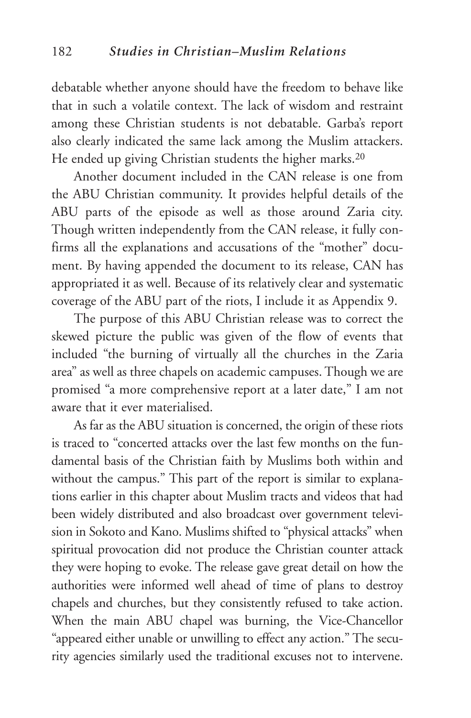debatable whether anyone should have the freedom to behave like that in such a volatile context. The lack of wisdom and restraint among these Christian students is not debatable. Garba's report also clearly indicated the same lack among the Muslim attackers. He ended up giving Christian students the higher marks.20

Another document included in the CAN release is one from the ABU Christian community. It provides helpful details of the ABU parts of the episode as well as those around Zaria city. Though written independently from the CAN release, it fully confirms all the explanations and accusations of the "mother" document. By having appended the document to its release, CAN has appropriated it as well. Because of its relatively clear and systematic coverage of the ABU part of the riots, I include it as Appendix 9.

The purpose of this ABU Christian release was to correct the skewed picture the public was given of the flow of events that included "the burning of virtually all the churches in the Zaria area" as well as three chapels on academic campuses. Though we are promised "a more comprehensive report at a later date," I am not aware that it ever materialised.

As far as the ABU situation is concerned, the origin of these riots is traced to "concerted attacks over the last few months on the fundamental basis of the Christian faith by Muslims both within and without the campus." This part of the report is similar to explanations earlier in this chapter about Muslim tracts and videos that had been widely distributed and also broadcast over government television in Sokoto and Kano. Muslims shifted to "physical attacks" when spiritual provocation did not produce the Christian counter attack they were hoping to evoke. The release gave great detail on how the authorities were informed well ahead of time of plans to destroy chapels and churches, but they consistently refused to take action. When the main ABU chapel was burning, the Vice-Chancellor "appeared either unable or unwilling to effect any action." The security agencies similarly used the traditional excuses not to intervene.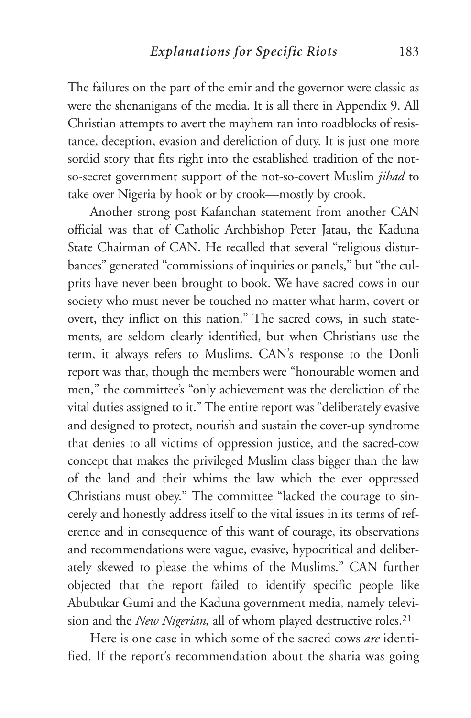The failures on the part of the emir and the governor were classic as were the shenanigans of the media. It is all there in Appendix 9. All Christian attempts to avert the mayhem ran into roadblocks of resistance, deception, evasion and dereliction of duty. It is just one more sordid story that fits right into the established tradition of the notso-secret government support of the not-so-covert Muslim *jihad* to take over Nigeria by hook or by crook—mostly by crook.

Another strong post-Kafanchan statement from another CAN official was that of Catholic Archbishop Peter Jatau, the Kaduna State Chairman of CAN. He recalled that several "religious disturbances" generated "commissions of inquiries or panels," but "the culprits have never been brought to book. We have sacred cows in our society who must never be touched no matter what harm, covert or overt, they inflict on this nation." The sacred cows, in such statements, are seldom clearly identified, but when Christians use the term, it always refers to Muslims. CAN's response to the Donli report was that, though the members were "honourable women and men," the committee's "only achievement was the dereliction of the vital duties assigned to it." The entire report was "deliberately evasive and designed to protect, nourish and sustain the cover-up syndrome that denies to all victims of oppression justice, and the sacred-cow concept that makes the privileged Muslim class bigger than the law of the land and their whims the law which the ever oppressed Christians must obey." The committee "lacked the courage to sincerely and honestly address itself to the vital issues in its terms of reference and in consequence of this want of courage, its observations and recommendations were vague, evasive, hypocritical and deliberately skewed to please the whims of the Muslims." CAN further objected that the report failed to identify specific people like Abubukar Gumi and the Kaduna government media, namely television and the *New Nigerian,* all of whom played destructive roles.21

Here is one case in which some of the sacred cows *are* identified. If the report's recommendation about the sharia was going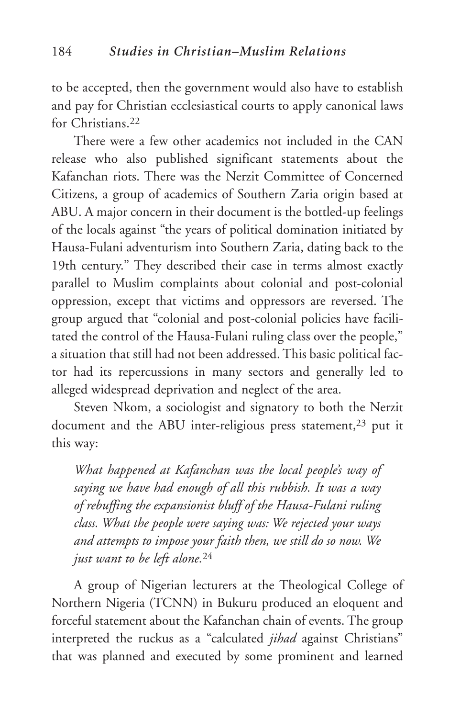to be accepted, then the government would also have to establish and pay for Christian ecclesiastical courts to apply canonical laws for Christians.22

There were a few other academics not included in the CAN release who also published significant statements about the Kafanchan riots. There was the Nerzit Committee of Concerned Citizens, a group of academics of Southern Zaria origin based at ABU. A major concern in their document is the bottled-up feelings of the locals against "the years of political domination initiated by Hausa-Fulani adventurism into Southern Zaria, dating back to the 19th century." They described their case in terms almost exactly parallel to Muslim complaints about colonial and post-colonial oppression, except that victims and oppressors are reversed. The group argued that "colonial and post-colonial policies have facilitated the control of the Hausa-Fulani ruling class over the people," a situation that still had not been addressed. This basic political factor had its repercussions in many sectors and generally led to alleged widespread deprivation and neglect of the area.

Steven Nkom, a sociologist and signatory to both the Nerzit document and the ABU inter-religious press statement,<sup>23</sup> put it this way:

*What happened at Kafanchan was the local people's way of saying we have had enough of all this rubbish. It was a way of rebuffing the expansionist bluff of the Hausa-Fulani ruling class. What the people were saying was: We rejected your ways and attempts to impose your faith then, we still do so now. We just want to be left alone.*<sup>24</sup>

A group of Nigerian lecturers at the Theological College of Northern Nigeria (TCNN) in Bukuru produced an eloquent and forceful statement about the Kafanchan chain of events. The group interpreted the ruckus as a "calculated *jihad* against Christians" that was planned and executed by some prominent and learned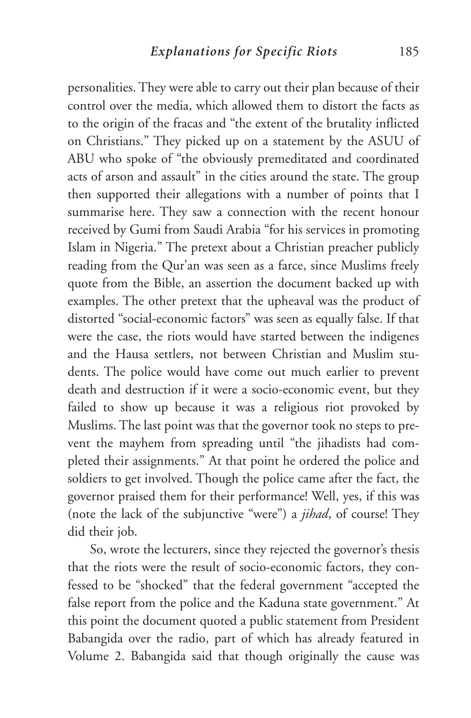personalities. They were able to carry out their plan because of their control over the media, which allowed them to distort the facts as to the origin of the fracas and "the extent of the brutality inflicted on Christians." They picked up on a statement by the ASUU of ABU who spoke of "the obviously premeditated and coordinated acts of arson and assault" in the cities around the state. The group then supported their allegations with a number of points that I summarise here. They saw a connection with the recent honour received by Gumi from Saudi Arabia "for his services in promoting Islam in Nigeria." The pretext about a Christian preacher publicly reading from the Qur'an was seen as a farce, since Muslims freely quote from the Bible, an assertion the document backed up with examples. The other pretext that the upheaval was the product of distorted "social-economic factors" was seen as equally false. If that were the case, the riots would have started between the indigenes and the Hausa settlers, not between Christian and Muslim students. The police would have come out much earlier to prevent death and destruction if it were a socio-economic event, but they failed to show up because it was a religious riot provoked by Muslims. The last point was that the governor took no steps to prevent the mayhem from spreading until "the jihadists had completed their assignments." At that point he ordered the police and soldiers to get involved. Though the police came after the fact, the governor praised them for their performance! Well, yes, if this was (note the lack of the subjunctive "were") a *jihad*, of course! They did their job.

So, wrote the lecturers, since they rejected the governor's thesis that the riots were the result of socio-economic factors, they confessed to be "shocked" that the federal government "accepted the false report from the police and the Kaduna state government." At this point the document quoted a public statement from President Babangida over the radio, part of which has already featured in Volume 2. Babangida said that though originally the cause was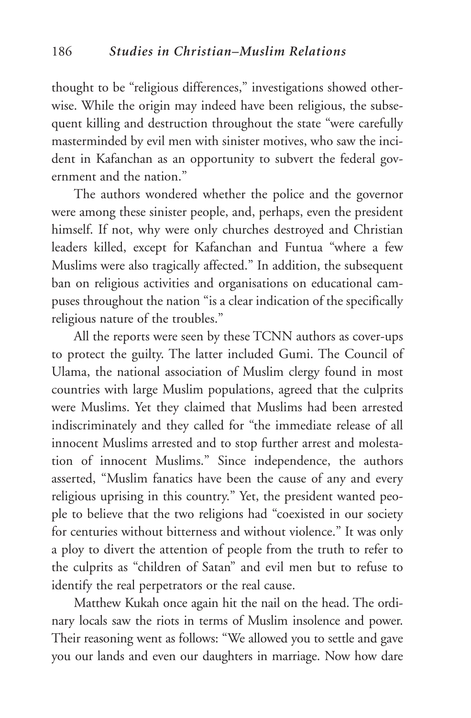thought to be "religious differences," investigations showed otherwise. While the origin may indeed have been religious, the subsequent killing and destruction throughout the state "were carefully masterminded by evil men with sinister motives, who saw the incident in Kafanchan as an opportunity to subvert the federal government and the nation."

The authors wondered whether the police and the governor were among these sinister people, and, perhaps, even the president himself. If not, why were only churches destroyed and Christian leaders killed, except for Kafanchan and Funtua "where a few Muslims were also tragically affected." In addition, the subsequent ban on religious activities and organisations on educational campuses throughout the nation "is a clear indication of the specifically religious nature of the troubles."

All the reports were seen by these TCNN authors as cover-ups to protect the guilty. The latter included Gumi. The Council of Ulama, the national association of Muslim clergy found in most countries with large Muslim populations, agreed that the culprits were Muslims. Yet they claimed that Muslims had been arrested indiscriminately and they called for "the immediate release of all innocent Muslims arrested and to stop further arrest and molestation of innocent Muslims." Since independence, the authors asserted, "Muslim fanatics have been the cause of any and every religious uprising in this country." Yet, the president wanted people to believe that the two religions had "coexisted in our society for centuries without bitterness and without violence." It was only a ploy to divert the attention of people from the truth to refer to the culprits as "children of Satan" and evil men but to refuse to identify the real perpetrators or the real cause.

Matthew Kukah once again hit the nail on the head. The ordinary locals saw the riots in terms of Muslim insolence and power. Their reasoning went as follows: "We allowed you to settle and gave you our lands and even our daughters in marriage. Now how dare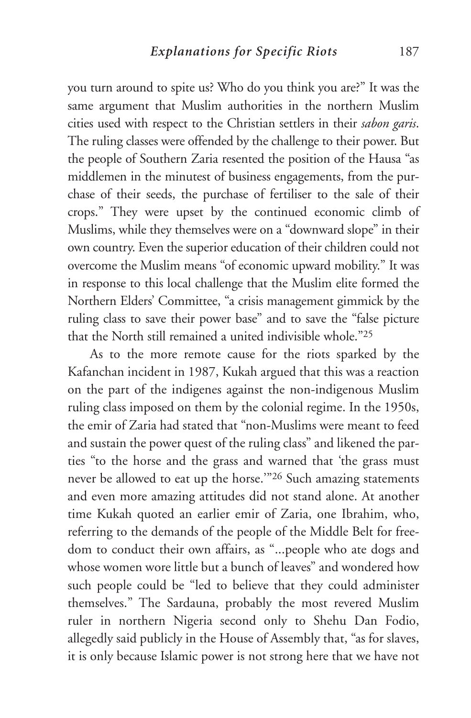you turn around to spite us? Who do you think you are?" It was the same argument that Muslim authorities in the northern Muslim cities used with respect to the Christian settlers in their *sabon garis*. The ruling classes were offended by the challenge to their power. But the people of Southern Zaria resented the position of the Hausa "as middlemen in the minutest of business engagements, from the purchase of their seeds, the purchase of fertiliser to the sale of their crops." They were upset by the continued economic climb of Muslims, while they themselves were on a "downward slope" in their own country. Even the superior education of their children could not overcome the Muslim means "of economic upward mobility." It was in response to this local challenge that the Muslim elite formed the Northern Elders' Committee, "a crisis management gimmick by the ruling class to save their power base" and to save the "false picture that the North still remained a united indivisible whole."25

As to the more remote cause for the riots sparked by the Kafanchan incident in 1987, Kukah argued that this was a reaction on the part of the indigenes against the non-indigenous Muslim ruling class imposed on them by the colonial regime. In the 1950s, the emir of Zaria had stated that "non-Muslims were meant to feed and sustain the power quest of the ruling class" and likened the parties "to the horse and the grass and warned that 'the grass must never be allowed to eat up the horse.'"26 Such amazing statements and even more amazing attitudes did not stand alone. At another time Kukah quoted an earlier emir of Zaria, one Ibrahim, who, referring to the demands of the people of the Middle Belt for freedom to conduct their own affairs, as "...people who ate dogs and whose women wore little but a bunch of leaves" and wondered how such people could be "led to believe that they could administer themselves." The Sardauna, probably the most revered Muslim ruler in northern Nigeria second only to Shehu Dan Fodio, allegedly said publicly in the House of Assembly that, "as for slaves, it is only because Islamic power is not strong here that we have not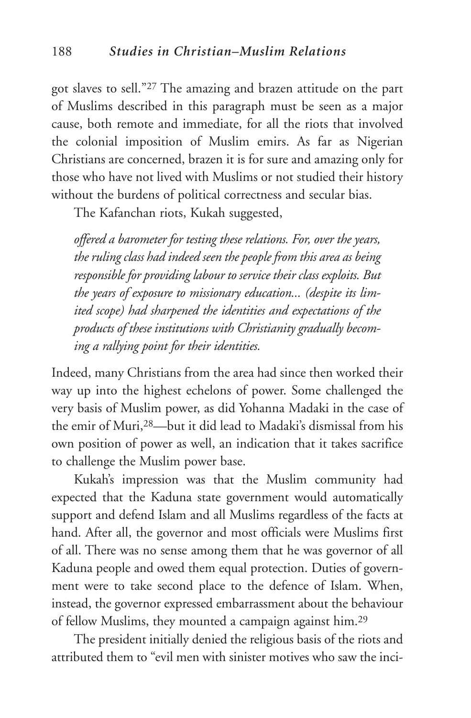got slaves to sell."27 The amazing and brazen attitude on the part of Muslims described in this paragraph must be seen as a major cause, both remote and immediate, for all the riots that involved the colonial imposition of Muslim emirs. As far as Nigerian Christians are concerned, brazen it is for sure and amazing only for those who have not lived with Muslims or not studied their history without the burdens of political correctness and secular bias.

The Kafanchan riots, Kukah suggested,

*offered a barometer for testing these relations. For, over the years, the ruling class had indeed seen the people from this area as being responsible for providing labour to service their class exploits. But the years of exposure to missionary education... (despite its limited scope) had sharpened the identities and expectations of the products of these institutions with Christianity gradually becoming a rallying point for their identities.*

Indeed, many Christians from the area had since then worked their way up into the highest echelons of power. Some challenged the very basis of Muslim power, as did Yohanna Madaki in the case of the emir of Muri,28—but it did lead to Madaki's dismissal from his own position of power as well, an indication that it takes sacrifice to challenge the Muslim power base.

Kukah's impression was that the Muslim community had expected that the Kaduna state government would automatically support and defend Islam and all Muslims regardless of the facts at hand. After all, the governor and most officials were Muslims first of all. There was no sense among them that he was governor of all Kaduna people and owed them equal protection. Duties of government were to take second place to the defence of Islam. When, instead, the governor expressed embarrassment about the behaviour of fellow Muslims, they mounted a campaign against him.29

The president initially denied the religious basis of the riots and attributed them to "evil men with sinister motives who saw the inci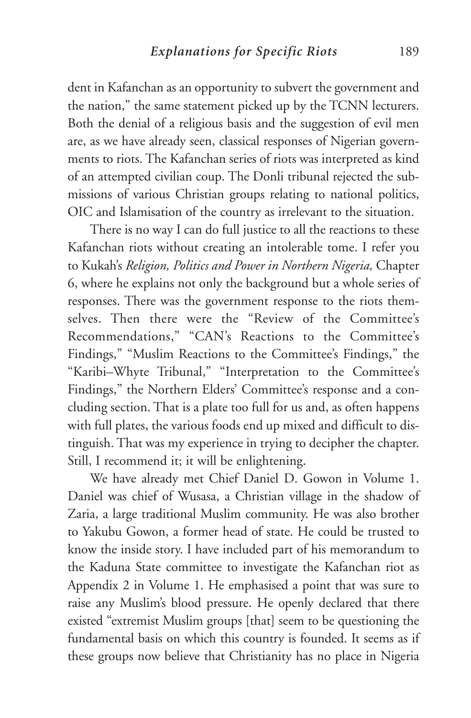dent in Kafanchan as an opportunity to subvert the government and the nation," the same statement picked up by the TCNN lecturers. Both the denial of a religious basis and the suggestion of evil men are, as we have already seen, classical responses of Nigerian governments to riots. The Kafanchan series of riots was interpreted as kind of an attempted civilian coup. The Donli tribunal rejected the submissions of various Christian groups relating to national politics, OIC and Islamisation of the country as irrelevant to the situation.

There is no way I can do full justice to all the reactions to these Kafanchan riots without creating an intolerable tome. I refer you to Kukah's *Religion, Politics and Power in Northern Nigeria,* Chapter 6, where he explains not only the background but a whole series of responses. There was the government response to the riots themselves. Then there were the "Review of the Committee's Recommendations," "CAN's Reactions to the Committee's Findings," "Muslim Reactions to the Committee's Findings," the "Karibi–Whyte Tribunal," "Interpretation to the Committee's Findings," the Northern Elders' Committee's response and a concluding section. That is a plate too full for us and, as often happens with full plates, the various foods end up mixed and difficult to distinguish. That was my experience in trying to decipher the chapter. Still, I recommend it; it will be enlightening.

We have already met Chief Daniel D. Gowon in Volume 1. Daniel was chief of Wusasa, a Christian village in the shadow of Zaria, a large traditional Muslim community. He was also brother to Yakubu Gowon, a former head of state. He could be trusted to know the inside story. I have included part of his memorandum to the Kaduna State committee to investigate the Kafanchan riot as Appendix 2 in Volume 1. He emphasised a point that was sure to raise any Muslim's blood pressure. He openly declared that there existed "extremist Muslim groups [that] seem to be questioning the fundamental basis on which this country is founded. It seems as if these groups now believe that Christianity has no place in Nigeria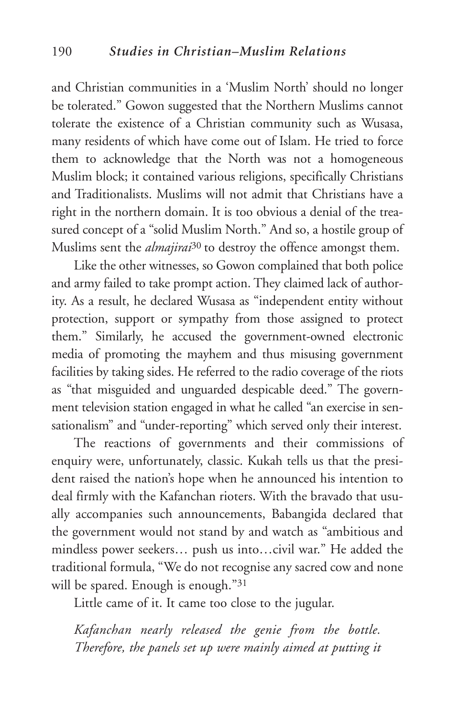and Christian communities in a 'Muslim North' should no longer be tolerated." Gowon suggested that the Northern Muslims cannot tolerate the existence of a Christian community such as Wusasa, many residents of which have come out of Islam. He tried to force them to acknowledge that the North was not a homogeneous Muslim block; it contained various religions, specifically Christians and Traditionalists. Muslims will not admit that Christians have a right in the northern domain. It is too obvious a denial of the treasured concept of a "solid Muslim North." And so, a hostile group of Muslims sent the *almajirai*30 to destroy the offence amongst them.

Like the other witnesses, so Gowon complained that both police and army failed to take prompt action. They claimed lack of authority. As a result, he declared Wusasa as "independent entity without protection, support or sympathy from those assigned to protect them." Similarly, he accused the government-owned electronic media of promoting the mayhem and thus misusing government facilities by taking sides. He referred to the radio coverage of the riots as "that misguided and unguarded despicable deed." The government television station engaged in what he called "an exercise in sensationalism" and "under-reporting" which served only their interest.

The reactions of governments and their commissions of enquiry were, unfortunately, classic. Kukah tells us that the president raised the nation's hope when he announced his intention to deal firmly with the Kafanchan rioters. With the bravado that usually accompanies such announcements, Babangida declared that the government would not stand by and watch as "ambitious and mindless power seekers… push us into…civil war." He added the traditional formula, "We do not recognise any sacred cow and none will be spared. Enough is enough."31

Little came of it. It came too close to the jugular.

*Kafanchan nearly released the genie from the bottle. Therefore, the panels set up were mainly aimed at putting it*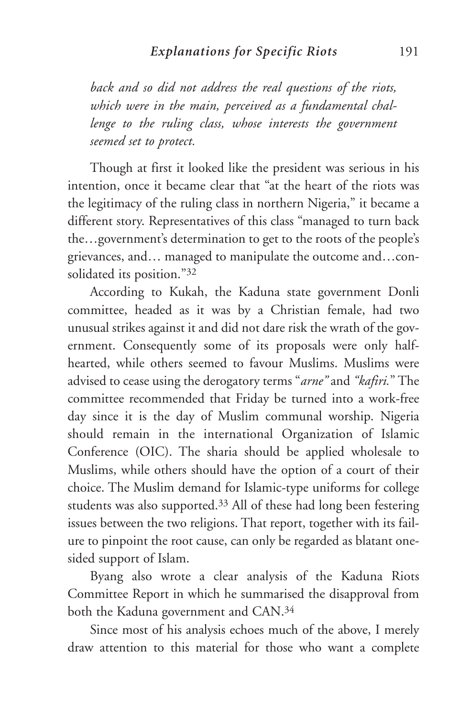*back and so did not address the real questions of the riots, which were in the main, perceived as a fundamental challenge to the ruling class, whose interests the government seemed set to protect.* 

Though at first it looked like the president was serious in his intention, once it became clear that "at the heart of the riots was the legitimacy of the ruling class in northern Nigeria," it became a different story. Representatives of this class "managed to turn back the…government's determination to get to the roots of the people's grievances, and… managed to manipulate the outcome and…consolidated its position."32

According to Kukah, the Kaduna state government Donli committee, headed as it was by a Christian female, had two unusual strikes against it and did not dare risk the wrath of the government. Consequently some of its proposals were only halfhearted, while others seemed to favour Muslims. Muslims were advised to cease using the derogatory terms "*arne"* and *"kafiri.*" The committee recommended that Friday be turned into a work-free day since it is the day of Muslim communal worship. Nigeria should remain in the international Organization of Islamic Conference (OIC). The sharia should be applied wholesale to Muslims, while others should have the option of a court of their choice. The Muslim demand for Islamic-type uniforms for college students was also supported.33 All of these had long been festering issues between the two religions. That report, together with its failure to pinpoint the root cause, can only be regarded as blatant onesided support of Islam.

Byang also wrote a clear analysis of the Kaduna Riots Committee Report in which he summarised the disapproval from both the Kaduna government and CAN.34

Since most of his analysis echoes much of the above, I merely draw attention to this material for those who want a complete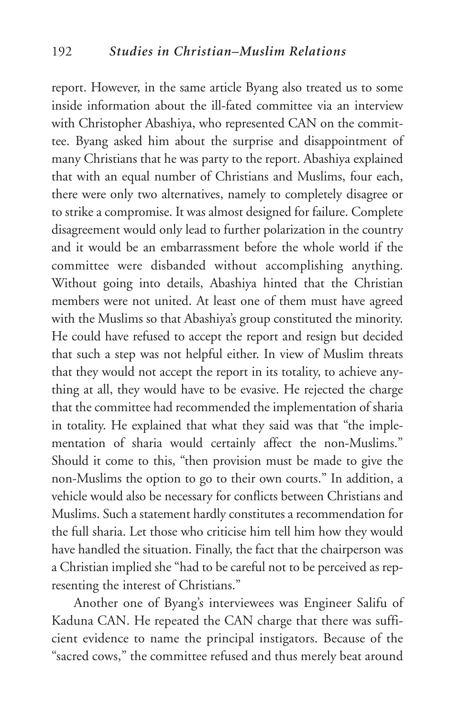report. However, in the same article Byang also treated us to some inside information about the ill-fated committee via an interview with Christopher Abashiya, who represented CAN on the committee. Byang asked him about the surprise and disappointment of many Christians that he was party to the report. Abashiya explained that with an equal number of Christians and Muslims, four each, there were only two alternatives, namely to completely disagree or to strike a compromise. It was almost designed for failure. Complete disagreement would only lead to further polarization in the country and it would be an embarrassment before the whole world if the committee were disbanded without accomplishing anything. Without going into details, Abashiya hinted that the Christian members were not united. At least one of them must have agreed with the Muslims so that Abashiya's group constituted the minority. He could have refused to accept the report and resign but decided that such a step was not helpful either. In view of Muslim threats that they would not accept the report in its totality, to achieve anything at all, they would have to be evasive. He rejected the charge that the committee had recommended the implementation of sharia in totality. He explained that what they said was that "the implementation of sharia would certainly affect the non-Muslims." Should it come to this, "then provision must be made to give the non-Muslims the option to go to their own courts." In addition, a vehicle would also be necessary for conflicts between Christians and Muslims. Such a statement hardly constitutes a recommendation for the full sharia. Let those who criticise him tell him how they would have handled the situation. Finally, the fact that the chairperson was a Christian implied she "had to be careful not to be perceived as representing the interest of Christians."

Another one of Byang's interviewees was Engineer Salifu of Kaduna CAN. He repeated the CAN charge that there was sufficient evidence to name the principal instigators. Because of the "sacred cows," the committee refused and thus merely beat around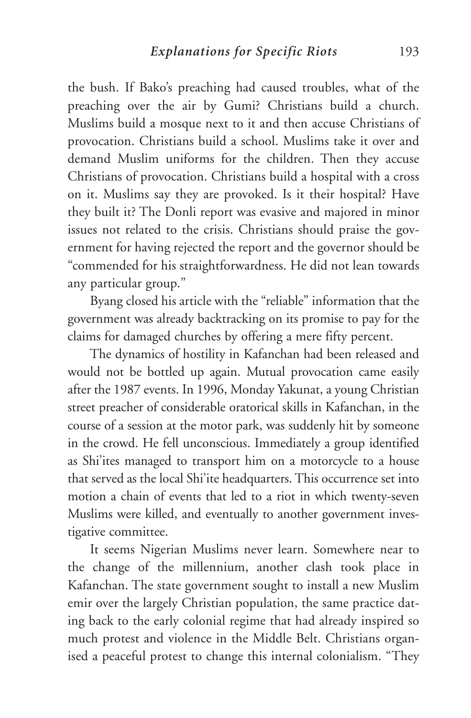the bush. If Bako's preaching had caused troubles, what of the preaching over the air by Gumi? Christians build a church. Muslims build a mosque next to it and then accuse Christians of provocation. Christians build a school. Muslims take it over and demand Muslim uniforms for the children. Then they accuse Christians of provocation. Christians build a hospital with a cross on it. Muslims say they are provoked. Is it their hospital? Have they built it? The Donli report was evasive and majored in minor issues not related to the crisis. Christians should praise the government for having rejected the report and the governor should be "commended for his straightforwardness. He did not lean towards any particular group."

Byang closed his article with the "reliable" information that the government was already backtracking on its promise to pay for the claims for damaged churches by offering a mere fifty percent.

The dynamics of hostility in Kafanchan had been released and would not be bottled up again. Mutual provocation came easily after the 1987 events. In 1996, Monday Yakunat, a young Christian street preacher of considerable oratorical skills in Kafanchan, in the course of a session at the motor park, was suddenly hit by someone in the crowd. He fell unconscious. Immediately a group identified as Shi'ites managed to transport him on a motorcycle to a house that served as the local Shi'ite headquarters. This occurrence set into motion a chain of events that led to a riot in which twenty-seven Muslims were killed, and eventually to another government investigative committee.

It seems Nigerian Muslims never learn. Somewhere near to the change of the millennium, another clash took place in Kafanchan. The state government sought to install a new Muslim emir over the largely Christian population, the same practice dating back to the early colonial regime that had already inspired so much protest and violence in the Middle Belt. Christians organised a peaceful protest to change this internal colonialism. "They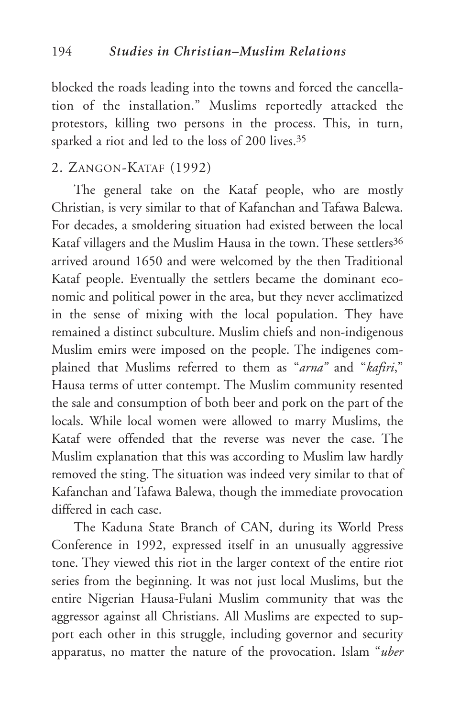blocked the roads leading into the towns and forced the cancellation of the installation." Muslims reportedly attacked the protestors, killing two persons in the process. This, in turn, sparked a riot and led to the loss of 200 lives.35

## 2. ZANGON-KATAF (1992)

The general take on the Kataf people, who are mostly Christian, is very similar to that of Kafanchan and Tafawa Balewa. For decades, a smoldering situation had existed between the local Kataf villagers and the Muslim Hausa in the town. These settlers<sup>36</sup> arrived around 1650 and were welcomed by the then Traditional Kataf people. Eventually the settlers became the dominant economic and political power in the area, but they never acclimatized in the sense of mixing with the local population. They have remained a distinct subculture. Muslim chiefs and non-indigenous Muslim emirs were imposed on the people. The indigenes complained that Muslims referred to them as "*arna"* and "*kafiri*," Hausa terms of utter contempt. The Muslim community resented the sale and consumption of both beer and pork on the part of the locals. While local women were allowed to marry Muslims, the Kataf were offended that the reverse was never the case. The Muslim explanation that this was according to Muslim law hardly removed the sting. The situation was indeed very similar to that of Kafanchan and Tafawa Balewa, though the immediate provocation differed in each case.

The Kaduna State Branch of CAN, during its World Press Conference in 1992, expressed itself in an unusually aggressive tone. They viewed this riot in the larger context of the entire riot series from the beginning. It was not just local Muslims, but the entire Nigerian Hausa-Fulani Muslim community that was the aggressor against all Christians. All Muslims are expected to support each other in this struggle, including governor and security apparatus, no matter the nature of the provocation. Islam "*uber*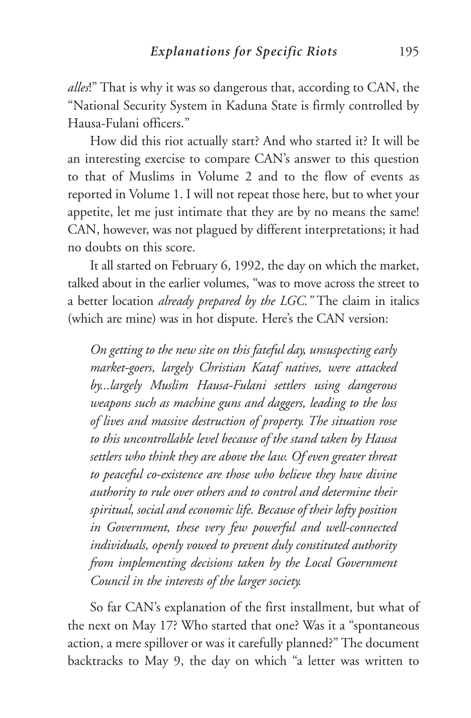*alles*!" That is why it was so dangerous that, according to CAN, the "National Security System in Kaduna State is firmly controlled by Hausa-Fulani officers."

How did this riot actually start? And who started it? It will be an interesting exercise to compare CAN's answer to this question to that of Muslims in Volume 2 and to the flow of events as reported in Volume 1. I will not repeat those here, but to whet your appetite, let me just intimate that they are by no means the same! CAN, however, was not plagued by different interpretations; it had no doubts on this score.

It all started on February 6, 1992, the day on which the market, talked about in the earlier volumes, "was to move across the street to a better location *already prepared by the LGC."* The claim in italics (which are mine) was in hot dispute. Here's the CAN version:

*On getting to the new site on this fateful day, unsuspecting early market-goers, largely Christian Kataf natives, were attacked by...largely Muslim Hausa-Fulani settlers using dangerous weapons such as machine guns and daggers, leading to the loss of lives and massive destruction of property. The situation rose to this uncontrollable level because of the stand taken by Hausa settlers who think they are above the law. Of even greater threat to peaceful co-existence are those who believe they have divine authority to rule over others and to control and determine their spiritual, social and economic life. Because of their lofty position in Government, these very few powerful and well-connected individuals, openly vowed to prevent duly constituted authority from implementing decisions taken by the Local Government Council in the interests of the larger society.* 

So far CAN's explanation of the first installment, but what of the next on May 17? Who started that one? Was it a "spontaneous action, a mere spillover or was it carefully planned?" The document backtracks to May 9, the day on which "a letter was written to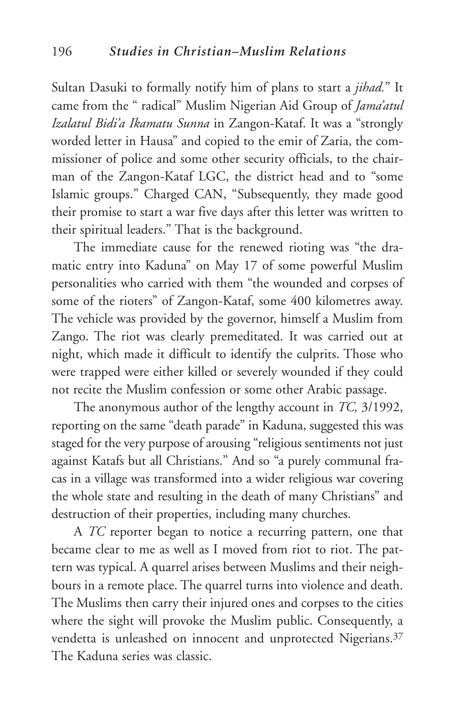Sultan Dasuki to formally notify him of plans to start a *jihad.*" It came from the " radical" Muslim Nigerian Aid Group of *Jama'atul Izalatul Bidi'a Ikamatu Sunna* in Zangon-Kataf. It was a "strongly worded letter in Hausa" and copied to the emir of Zaria, the commissioner of police and some other security officials, to the chairman of the Zangon-Kataf LGC, the district head and to "some Islamic groups." Charged CAN, "Subsequently, they made good their promise to start a war five days after this letter was written to their spiritual leaders." That is the background.

The immediate cause for the renewed rioting was "the dramatic entry into Kaduna" on May 17 of some powerful Muslim personalities who carried with them "the wounded and corpses of some of the rioters" of Zangon-Kataf, some 400 kilometres away. The vehicle was provided by the governor, himself a Muslim from Zango. The riot was clearly premeditated. It was carried out at night, which made it difficult to identify the culprits. Those who were trapped were either killed or severely wounded if they could not recite the Muslim confession or some other Arabic passage.

The anonymous author of the lengthy account in *TC,* 3/1992, reporting on the same "death parade" in Kaduna, suggested this was staged for the very purpose of arousing "religious sentiments not just against Katafs but all Christians." And so "a purely communal fracas in a village was transformed into a wider religious war covering the whole state and resulting in the death of many Christians" and destruction of their properties, including many churches.

A *TC* reporter began to notice a recurring pattern, one that became clear to me as well as I moved from riot to riot. The pattern was typical. A quarrel arises between Muslims and their neighbours in a remote place. The quarrel turns into violence and death. The Muslims then carry their injured ones and corpses to the cities where the sight will provoke the Muslim public. Consequently, a vendetta is unleashed on innocent and unprotected Nigerians.<sup>37</sup> The Kaduna series was classic.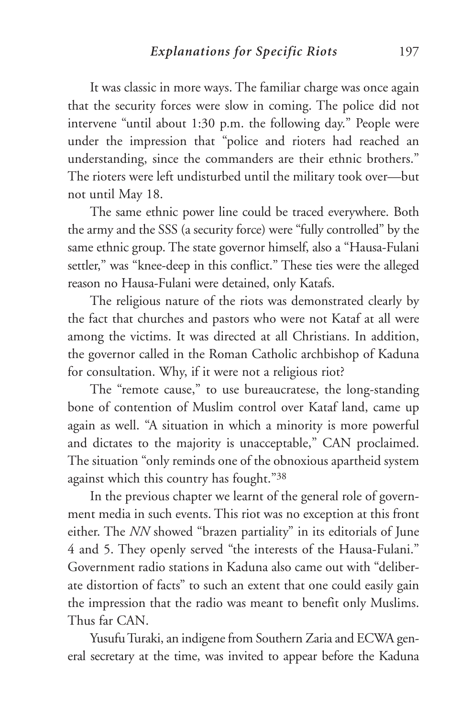It was classic in more ways. The familiar charge was once again that the security forces were slow in coming. The police did not intervene "until about 1:30 p.m. the following day." People were under the impression that "police and rioters had reached an understanding, since the commanders are their ethnic brothers." The rioters were left undisturbed until the military took over—but not until May 18.

The same ethnic power line could be traced everywhere. Both the army and the SSS (a security force) were "fully controlled" by the same ethnic group. The state governor himself, also a "Hausa-Fulani settler," was "knee-deep in this conflict." These ties were the alleged reason no Hausa-Fulani were detained, only Katafs.

The religious nature of the riots was demonstrated clearly by the fact that churches and pastors who were not Kataf at all were among the victims. It was directed at all Christians. In addition, the governor called in the Roman Catholic archbishop of Kaduna for consultation. Why, if it were not a religious riot?

The "remote cause," to use bureaucratese, the long-standing bone of contention of Muslim control over Kataf land, came up again as well. "A situation in which a minority is more powerful and dictates to the majority is unacceptable," CAN proclaimed. The situation "only reminds one of the obnoxious apartheid system against which this country has fought."38

In the previous chapter we learnt of the general role of government media in such events. This riot was no exception at this front either. The *NN* showed "brazen partiality" in its editorials of June 4 and 5. They openly served "the interests of the Hausa-Fulani." Government radio stations in Kaduna also came out with "deliberate distortion of facts" to such an extent that one could easily gain the impression that the radio was meant to benefit only Muslims. Thus far CAN.

Yusufu Turaki, an indigene from Southern Zaria and ECWA general secretary at the time, was invited to appear before the Kaduna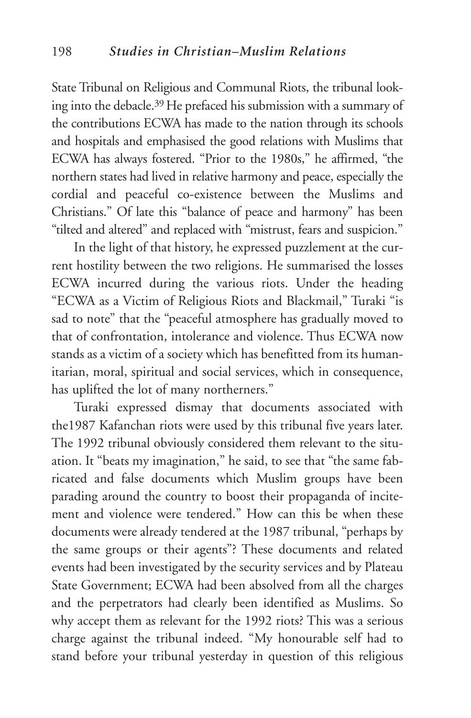State Tribunal on Religious and Communal Riots, the tribunal looking into the debacle.39 He prefaced his submission with a summary of the contributions ECWA has made to the nation through its schools and hospitals and emphasised the good relations with Muslims that ECWA has always fostered. "Prior to the 1980s," he affirmed, "the northern states had lived in relative harmony and peace, especially the cordial and peaceful co-existence between the Muslims and Christians." Of late this "balance of peace and harmony" has been "tilted and altered" and replaced with "mistrust, fears and suspicion."

In the light of that history, he expressed puzzlement at the current hostility between the two religions. He summarised the losses ECWA incurred during the various riots. Under the heading "ECWA as a Victim of Religious Riots and Blackmail," Turaki "is sad to note" that the "peaceful atmosphere has gradually moved to that of confrontation, intolerance and violence. Thus ECWA now stands as a victim of a society which has benefitted from its humanitarian, moral, spiritual and social services, which in consequence, has uplifted the lot of many northerners."

Turaki expressed dismay that documents associated with the1987 Kafanchan riots were used by this tribunal five years later. The 1992 tribunal obviously considered them relevant to the situation. It "beats my imagination," he said, to see that "the same fabricated and false documents which Muslim groups have been parading around the country to boost their propaganda of incitement and violence were tendered." How can this be when these documents were already tendered at the 1987 tribunal, "perhaps by the same groups or their agents"? These documents and related events had been investigated by the security services and by Plateau State Government; ECWA had been absolved from all the charges and the perpetrators had clearly been identified as Muslims. So why accept them as relevant for the 1992 riots? This was a serious charge against the tribunal indeed. "My honourable self had to stand before your tribunal yesterday in question of this religious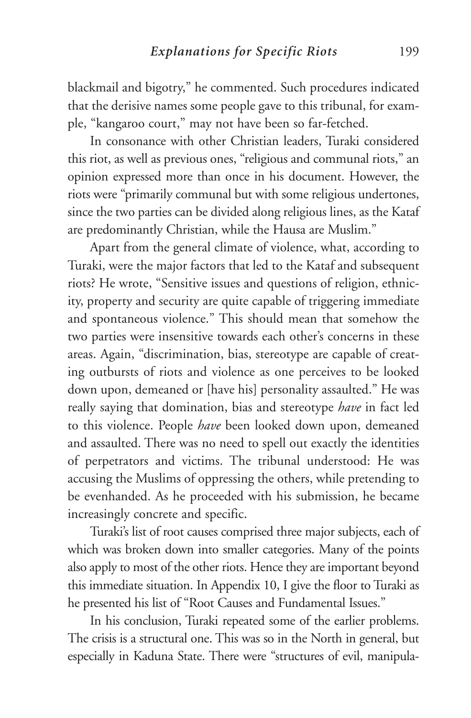blackmail and bigotry," he commented. Such procedures indicated that the derisive names some people gave to this tribunal, for example, "kangaroo court," may not have been so far-fetched.

In consonance with other Christian leaders, Turaki considered this riot, as well as previous ones, "religious and communal riots," an opinion expressed more than once in his document. However, the riots were "primarily communal but with some religious undertones, since the two parties can be divided along religious lines, as the Kataf are predominantly Christian, while the Hausa are Muslim."

Apart from the general climate of violence, what, according to Turaki, were the major factors that led to the Kataf and subsequent riots? He wrote, "Sensitive issues and questions of religion, ethnicity, property and security are quite capable of triggering immediate and spontaneous violence." This should mean that somehow the two parties were insensitive towards each other's concerns in these areas. Again, "discrimination, bias, stereotype are capable of creating outbursts of riots and violence as one perceives to be looked down upon, demeaned or [have his] personality assaulted." He was really saying that domination, bias and stereotype *have* in fact led to this violence. People *have* been looked down upon, demeaned and assaulted. There was no need to spell out exactly the identities of perpetrators and victims. The tribunal understood: He was accusing the Muslims of oppressing the others, while pretending to be evenhanded. As he proceeded with his submission, he became increasingly concrete and specific.

Turaki's list of root causes comprised three major subjects, each of which was broken down into smaller categories. Many of the points also apply to most of the other riots. Hence they are important beyond this immediate situation. In Appendix 10, I give the floor to Turaki as he presented his list of "Root Causes and Fundamental Issues."

In his conclusion, Turaki repeated some of the earlier problems. The crisis is a structural one. This was so in the North in general, but especially in Kaduna State. There were "structures of evil, manipula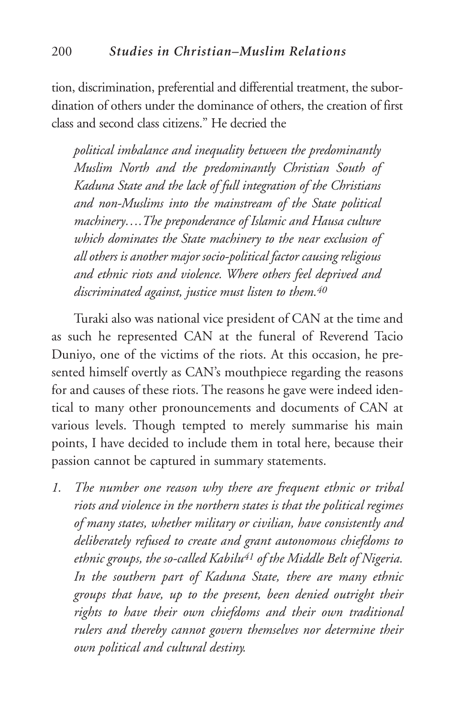tion, discrimination, preferential and differential treatment, the subordination of others under the dominance of others, the creation of first class and second class citizens." He decried the

*political imbalance and inequality between the predominantly Muslim North and the predominantly Christian South of Kaduna State and the lack of full integration of the Christians and non-Muslims into the mainstream of the State political machinery….The preponderance of Islamic and Hausa culture which dominates the State machinery to the near exclusion of all others is another major socio-political factor causing religious and ethnic riots and violence. Where others feel deprived and discriminated against, justice must listen to them.40*

Turaki also was national vice president of CAN at the time and as such he represented CAN at the funeral of Reverend Tacio Duniyo, one of the victims of the riots. At this occasion, he presented himself overtly as CAN's mouthpiece regarding the reasons for and causes of these riots. The reasons he gave were indeed identical to many other pronouncements and documents of CAN at various levels. Though tempted to merely summarise his main points, I have decided to include them in total here, because their passion cannot be captured in summary statements.

*1. The number one reason why there are frequent ethnic or tribal riots and violence in the northern states is that the political regimes of many states, whether military or civilian, have consistently and deliberately refused to create and grant autonomous chiefdoms to ethnic groups, the so-called Kabilu41 of the Middle Belt of Nigeria. In the southern part of Kaduna State, there are many ethnic groups that have, up to the present, been denied outright their rights to have their own chiefdoms and their own traditional rulers and thereby cannot govern themselves nor determine their own political and cultural destiny.*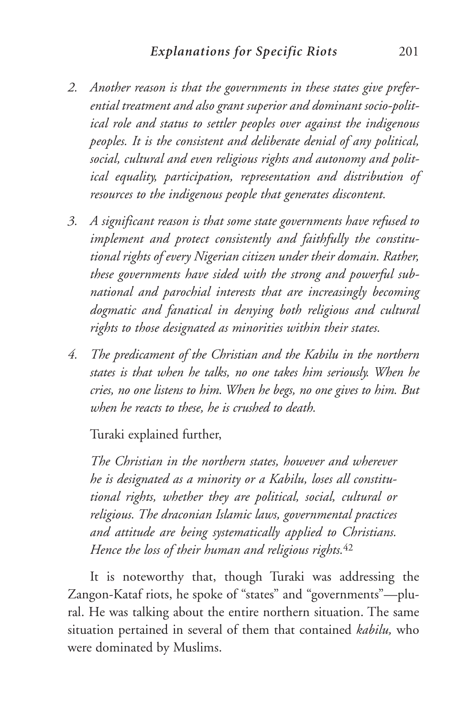- *2. Another reason is that the governments in these states give preferential treatment and also grant superior and dominant socio-political role and status to settler peoples over against the indigenous peoples. It is the consistent and deliberate denial of any political, social, cultural and even religious rights and autonomy and political equality, participation, representation and distribution of resources to the indigenous people that generates discontent.*
- *3. A significant reason is that some state governments have refused to implement and protect consistently and faithfully the constitutional rights of every Nigerian citizen under their domain. Rather, these governments have sided with the strong and powerful subnational and parochial interests that are increasingly becoming dogmatic and fanatical in denying both religious and cultural rights to those designated as minorities within their states.*
- *4. The predicament of the Christian and the Kabilu in the northern states is that when he talks, no one takes him seriously. When he cries, no one listens to him. When he begs, no one gives to him. But when he reacts to these, he is crushed to death.*

Turaki explained further,

*The Christian in the northern states, however and wherever he is designated as a minority or a Kabilu, loses all constitutional rights, whether they are political, social, cultural or religious. The draconian Islamic laws, governmental practices and attitude are being systematically applied to Christians. Hence the loss of their human and religious rights.*<sup>42</sup>

It is noteworthy that, though Turaki was addressing the Zangon-Kataf riots, he spoke of "states" and "governments"—plural. He was talking about the entire northern situation. The same situation pertained in several of them that contained *kabilu,* who were dominated by Muslims.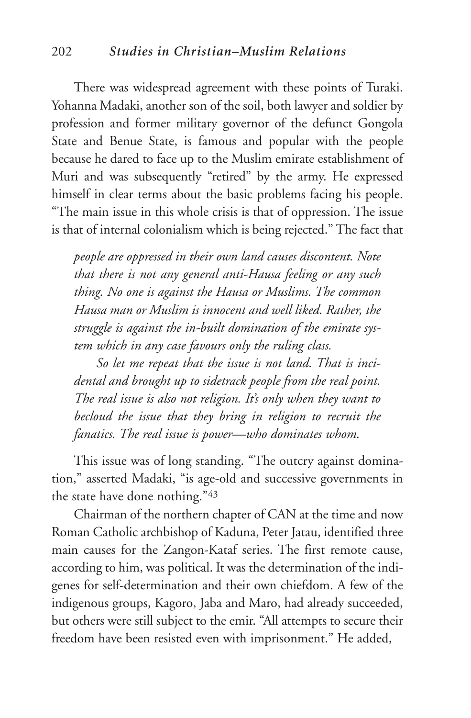#### 202 *Studies in Christian–Muslim Relations*

There was widespread agreement with these points of Turaki. Yohanna Madaki, another son of the soil, both lawyer and soldier by profession and former military governor of the defunct Gongola State and Benue State, is famous and popular with the people because he dared to face up to the Muslim emirate establishment of Muri and was subsequently "retired" by the army. He expressed himself in clear terms about the basic problems facing his people. "The main issue in this whole crisis is that of oppression. The issue is that of internal colonialism which is being rejected." The fact that

*people are oppressed in their own land causes discontent. Note that there is not any general anti-Hausa feeling or any such thing. No one is against the Hausa or Muslims. The common Hausa man or Muslim is innocent and well liked. Rather, the struggle is against the in-built domination of the emirate system which in any case favours only the ruling class.* 

*So let me repeat that the issue is not land. That is incidental and brought up to sidetrack people from the real point. The real issue is also not religion. It's only when they want to becloud the issue that they bring in religion to recruit the fanatics. The real issue is power—who dominates whom.* 

This issue was of long standing. "The outcry against domination," asserted Madaki, "is age-old and successive governments in the state have done nothing."43

Chairman of the northern chapter of CAN at the time and now Roman Catholic archbishop of Kaduna, Peter Jatau, identified three main causes for the Zangon-Kataf series. The first remote cause, according to him, was political. It was the determination of the indigenes for self-determination and their own chiefdom. A few of the indigenous groups, Kagoro, Jaba and Maro, had already succeeded, but others were still subject to the emir. "All attempts to secure their freedom have been resisted even with imprisonment." He added,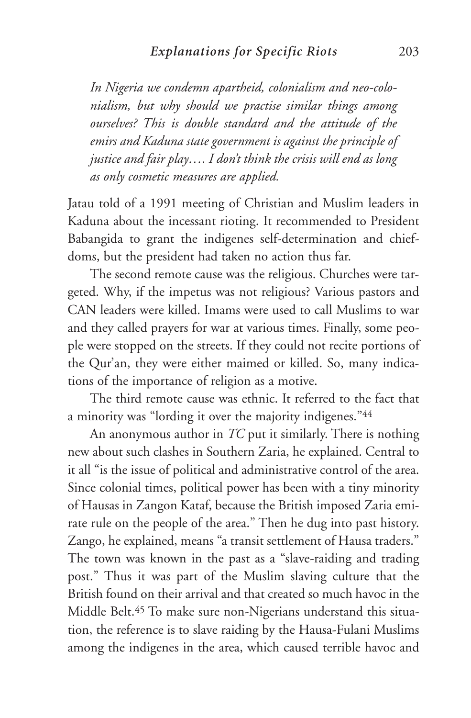*In Nigeria we condemn apartheid, colonialism and neo-colonialism, but why should we practise similar things among ourselves? This is double standard and the attitude of the emirs and Kaduna state government is against the principle of justice and fair play…. I don't think the crisis will end as long as only cosmetic measures are applied.* 

Jatau told of a 1991 meeting of Christian and Muslim leaders in Kaduna about the incessant rioting. It recommended to President Babangida to grant the indigenes self-determination and chiefdoms, but the president had taken no action thus far.

The second remote cause was the religious. Churches were targeted. Why, if the impetus was not religious? Various pastors and CAN leaders were killed. Imams were used to call Muslims to war and they called prayers for war at various times. Finally, some people were stopped on the streets. If they could not recite portions of the Qur'an, they were either maimed or killed. So, many indications of the importance of religion as a motive.

The third remote cause was ethnic. It referred to the fact that a minority was "lording it over the majority indigenes."44

An anonymous author in *TC* put it similarly. There is nothing new about such clashes in Southern Zaria, he explained. Central to it all "is the issue of political and administrative control of the area. Since colonial times, political power has been with a tiny minority of Hausas in Zangon Kataf, because the British imposed Zaria emirate rule on the people of the area." Then he dug into past history. Zango, he explained, means "a transit settlement of Hausa traders." The town was known in the past as a "slave-raiding and trading post." Thus it was part of the Muslim slaving culture that the British found on their arrival and that created so much havoc in the Middle Belt.45 To make sure non-Nigerians understand this situation, the reference is to slave raiding by the Hausa-Fulani Muslims among the indigenes in the area, which caused terrible havoc and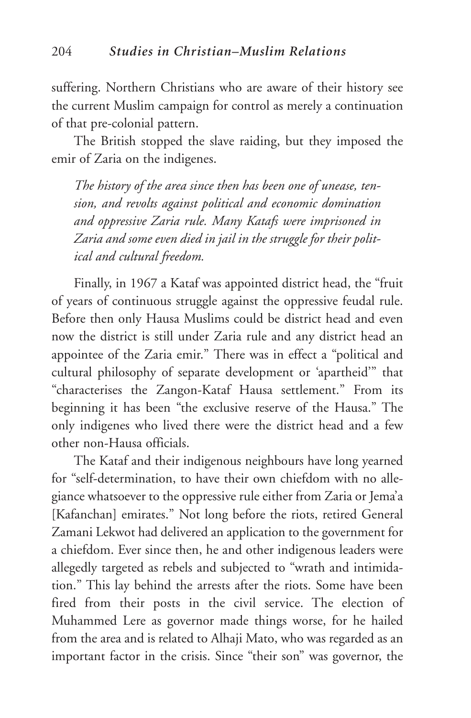suffering. Northern Christians who are aware of their history see the current Muslim campaign for control as merely a continuation of that pre-colonial pattern.

The British stopped the slave raiding, but they imposed the emir of Zaria on the indigenes.

*The history of the area since then has been one of unease, tension, and revolts against political and economic domination and oppressive Zaria rule. Many Katafs were imprisoned in Zaria and some even died in jail in the struggle for their political and cultural freedom.* 

Finally, in 1967 a Kataf was appointed district head, the "fruit of years of continuous struggle against the oppressive feudal rule. Before then only Hausa Muslims could be district head and even now the district is still under Zaria rule and any district head an appointee of the Zaria emir." There was in effect a "political and cultural philosophy of separate development or 'apartheid'" that "characterises the Zangon-Kataf Hausa settlement." From its beginning it has been "the exclusive reserve of the Hausa." The only indigenes who lived there were the district head and a few other non-Hausa officials.

The Kataf and their indigenous neighbours have long yearned for "self-determination, to have their own chiefdom with no allegiance whatsoever to the oppressive rule either from Zaria or Jema'a [Kafanchan] emirates." Not long before the riots, retired General Zamani Lekwot had delivered an application to the government for a chiefdom. Ever since then, he and other indigenous leaders were allegedly targeted as rebels and subjected to "wrath and intimidation." This lay behind the arrests after the riots. Some have been fired from their posts in the civil service. The election of Muhammed Lere as governor made things worse, for he hailed from the area and is related to Alhaji Mato, who was regarded as an important factor in the crisis. Since "their son" was governor, the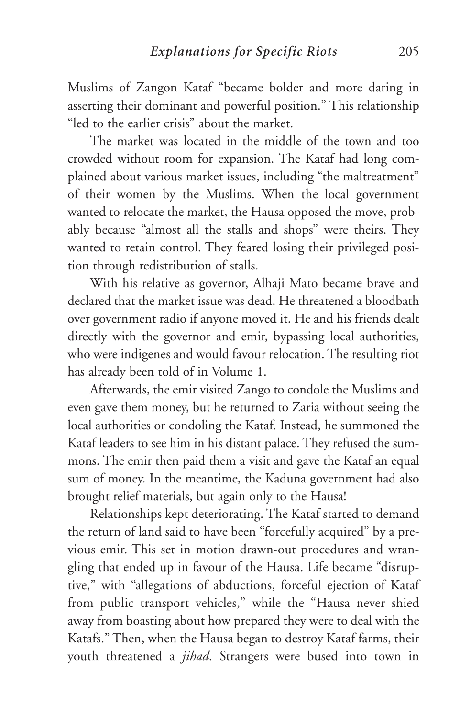Muslims of Zangon Kataf "became bolder and more daring in asserting their dominant and powerful position." This relationship "led to the earlier crisis" about the market.

The market was located in the middle of the town and too crowded without room for expansion. The Kataf had long complained about various market issues, including "the maltreatment" of their women by the Muslims. When the local government wanted to relocate the market, the Hausa opposed the move, probably because "almost all the stalls and shops" were theirs. They wanted to retain control. They feared losing their privileged position through redistribution of stalls.

With his relative as governor, Alhaji Mato became brave and declared that the market issue was dead. He threatened a bloodbath over government radio if anyone moved it. He and his friends dealt directly with the governor and emir, bypassing local authorities, who were indigenes and would favour relocation. The resulting riot has already been told of in Volume 1.

Afterwards, the emir visited Zango to condole the Muslims and even gave them money, but he returned to Zaria without seeing the local authorities or condoling the Kataf. Instead, he summoned the Kataf leaders to see him in his distant palace. They refused the summons. The emir then paid them a visit and gave the Kataf an equal sum of money. In the meantime, the Kaduna government had also brought relief materials, but again only to the Hausa!

Relationships kept deteriorating. The Kataf started to demand the return of land said to have been "forcefully acquired" by a previous emir. This set in motion drawn-out procedures and wrangling that ended up in favour of the Hausa. Life became "disruptive," with "allegations of abductions, forceful ejection of Kataf from public transport vehicles," while the "Hausa never shied away from boasting about how prepared they were to deal with the Katafs." Then, when the Hausa began to destroy Kataf farms, their youth threatened a *jihad*. Strangers were bused into town in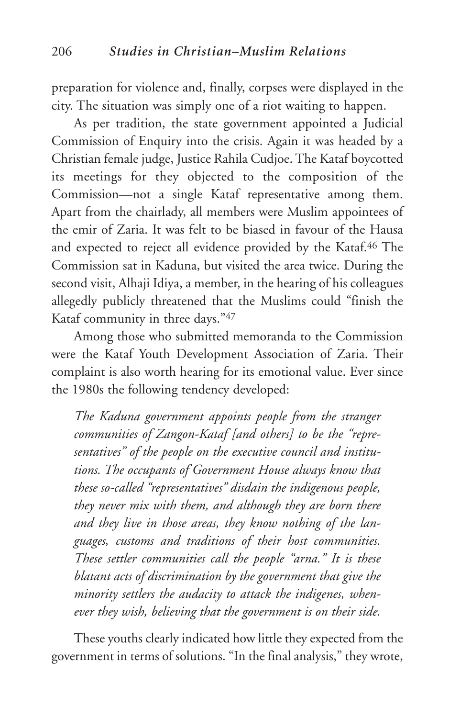preparation for violence and, finally, corpses were displayed in the city. The situation was simply one of a riot waiting to happen.

As per tradition, the state government appointed a Judicial Commission of Enquiry into the crisis. Again it was headed by a Christian female judge, Justice Rahila Cudjoe. The Kataf boycotted its meetings for they objected to the composition of the Commission—not a single Kataf representative among them. Apart from the chairlady, all members were Muslim appointees of the emir of Zaria. It was felt to be biased in favour of the Hausa and expected to reject all evidence provided by the Kataf.<sup>46</sup> The Commission sat in Kaduna, but visited the area twice. During the second visit, Alhaji Idiya, a member, in the hearing of his colleagues allegedly publicly threatened that the Muslims could "finish the Kataf community in three days."47

Among those who submitted memoranda to the Commission were the Kataf Youth Development Association of Zaria. Their complaint is also worth hearing for its emotional value. Ever since the 1980s the following tendency developed:

*The Kaduna government appoints people from the stranger communities of Zangon-Kataf [and others] to be the "representatives" of the people on the executive council and institutions. The occupants of Government House always know that these so-called "representatives" disdain the indigenous people, they never mix with them, and although they are born there and they live in those areas, they know nothing of the languages, customs and traditions of their host communities. These settler communities call the people "arna." It is these blatant acts of discrimination by the government that give the minority settlers the audacity to attack the indigenes, whenever they wish, believing that the government is on their side.*

These youths clearly indicated how little they expected from the government in terms of solutions. "In the final analysis," they wrote,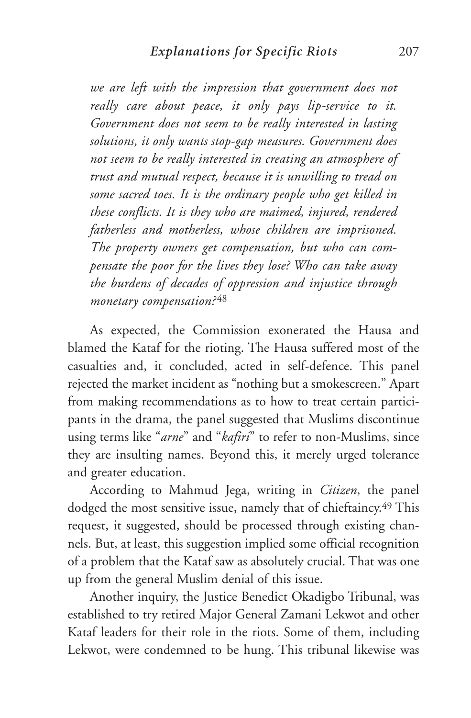*we are left with the impression that government does not really care about peace, it only pays lip-service to it. Government does not seem to be really interested in lasting solutions, it only wants stop-gap measures. Government does not seem to be really interested in creating an atmosphere of trust and mutual respect, because it is unwilling to tread on some sacred toes. It is the ordinary people who get killed in these conflicts. It is they who are maimed, injured, rendered fatherless and motherless, whose children are imprisoned. The property owners get compensation, but who can compensate the poor for the lives they lose? Who can take away the burdens of decades of oppression and injustice through monetary compensation?* <sup>48</sup>

As expected, the Commission exonerated the Hausa and blamed the Kataf for the rioting. The Hausa suffered most of the casualties and, it concluded, acted in self-defence. This panel rejected the market incident as "nothing but a smokescreen." Apart from making recommendations as to how to treat certain participants in the drama, the panel suggested that Muslims discontinue using terms like "*arne*" and "*kafiri*" to refer to non-Muslims, since they are insulting names. Beyond this, it merely urged tolerance and greater education.

According to Mahmud Jega, writing in *Citizen*, the panel dodged the most sensitive issue, namely that of chieftaincy.49 This request, it suggested, should be processed through existing channels. But, at least, this suggestion implied some official recognition of a problem that the Kataf saw as absolutely crucial. That was one up from the general Muslim denial of this issue.

Another inquiry, the Justice Benedict Okadigbo Tribunal, was established to try retired Major General Zamani Lekwot and other Kataf leaders for their role in the riots. Some of them, including Lekwot, were condemned to be hung. This tribunal likewise was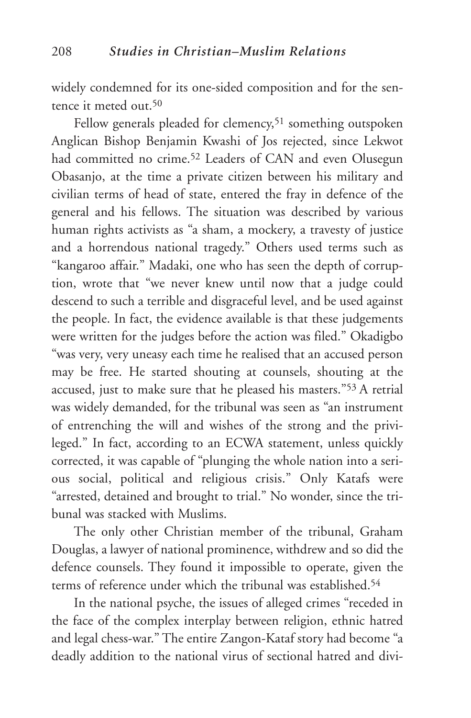widely condemned for its one-sided composition and for the sentence it meted out.50

Fellow generals pleaded for clemency,<sup>51</sup> something outspoken Anglican Bishop Benjamin Kwashi of Jos rejected, since Lekwot had committed no crime.<sup>52</sup> Leaders of CAN and even Olusegun Obasanjo, at the time a private citizen between his military and civilian terms of head of state, entered the fray in defence of the general and his fellows. The situation was described by various human rights activists as "a sham, a mockery, a travesty of justice and a horrendous national tragedy." Others used terms such as "kangaroo affair." Madaki, one who has seen the depth of corruption, wrote that "we never knew until now that a judge could descend to such a terrible and disgraceful level, and be used against the people. In fact, the evidence available is that these judgements were written for the judges before the action was filed." Okadigbo "was very, very uneasy each time he realised that an accused person may be free. He started shouting at counsels, shouting at the accused, just to make sure that he pleased his masters."53 A retrial was widely demanded, for the tribunal was seen as "an instrument of entrenching the will and wishes of the strong and the privileged." In fact, according to an ECWA statement, unless quickly corrected, it was capable of "plunging the whole nation into a serious social, political and religious crisis." Only Katafs were "arrested, detained and brought to trial." No wonder, since the tribunal was stacked with Muslims.

The only other Christian member of the tribunal, Graham Douglas, a lawyer of national prominence, withdrew and so did the defence counsels. They found it impossible to operate, given the terms of reference under which the tribunal was established.<sup>54</sup>

In the national psyche, the issues of alleged crimes "receded in the face of the complex interplay between religion, ethnic hatred and legal chess-war." The entire Zangon-Kataf story had become "a deadly addition to the national virus of sectional hatred and divi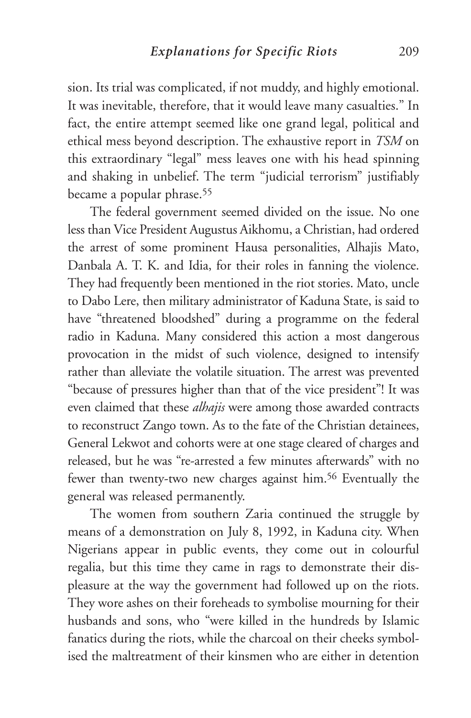sion. Its trial was complicated, if not muddy, and highly emotional. It was inevitable, therefore, that it would leave many casualties." In fact, the entire attempt seemed like one grand legal, political and ethical mess beyond description. The exhaustive report in *TSM* on this extraordinary "legal" mess leaves one with his head spinning and shaking in unbelief. The term "judicial terrorism" justifiably became a popular phrase.55

The federal government seemed divided on the issue. No one less than Vice President Augustus Aikhomu, a Christian, had ordered the arrest of some prominent Hausa personalities, Alhajis Mato, Danbala A. T. K. and Idia, for their roles in fanning the violence. They had frequently been mentioned in the riot stories. Mato, uncle to Dabo Lere, then military administrator of Kaduna State, is said to have "threatened bloodshed" during a programme on the federal radio in Kaduna. Many considered this action a most dangerous provocation in the midst of such violence, designed to intensify rather than alleviate the volatile situation. The arrest was prevented "because of pressures higher than that of the vice president"! It was even claimed that these *alhajis* were among those awarded contracts to reconstruct Zango town. As to the fate of the Christian detainees, General Lekwot and cohorts were at one stage cleared of charges and released, but he was "re-arrested a few minutes afterwards" with no fewer than twenty-two new charges against him.56 Eventually the general was released permanently.

The women from southern Zaria continued the struggle by means of a demonstration on July 8, 1992, in Kaduna city. When Nigerians appear in public events, they come out in colourful regalia, but this time they came in rags to demonstrate their displeasure at the way the government had followed up on the riots. They wore ashes on their foreheads to symbolise mourning for their husbands and sons, who "were killed in the hundreds by Islamic fanatics during the riots, while the charcoal on their cheeks symbolised the maltreatment of their kinsmen who are either in detention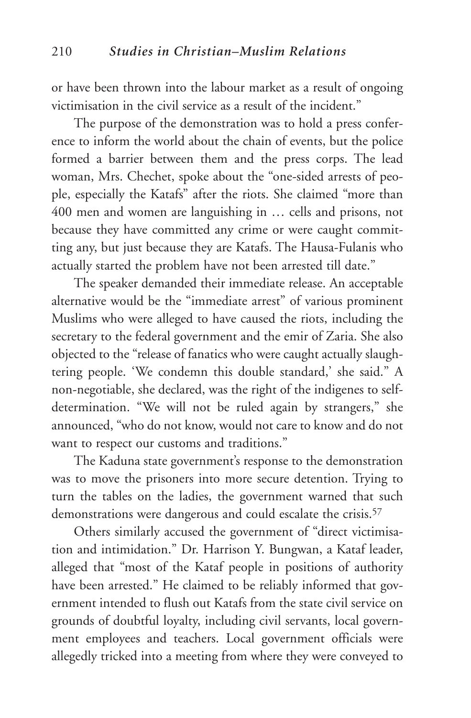or have been thrown into the labour market as a result of ongoing victimisation in the civil service as a result of the incident."

The purpose of the demonstration was to hold a press conference to inform the world about the chain of events, but the police formed a barrier between them and the press corps. The lead woman, Mrs. Chechet, spoke about the "one-sided arrests of people, especially the Katafs" after the riots. She claimed "more than 400 men and women are languishing in … cells and prisons, not because they have committed any crime or were caught committing any, but just because they are Katafs. The Hausa-Fulanis who actually started the problem have not been arrested till date."

The speaker demanded their immediate release. An acceptable alternative would be the "immediate arrest" of various prominent Muslims who were alleged to have caused the riots, including the secretary to the federal government and the emir of Zaria. She also objected to the "release of fanatics who were caught actually slaughtering people. 'We condemn this double standard,' she said." A non-negotiable, she declared, was the right of the indigenes to selfdetermination. "We will not be ruled again by strangers," she announced, "who do not know, would not care to know and do not want to respect our customs and traditions."

The Kaduna state government's response to the demonstration was to move the prisoners into more secure detention. Trying to turn the tables on the ladies, the government warned that such demonstrations were dangerous and could escalate the crisis.57

Others similarly accused the government of "direct victimisation and intimidation." Dr. Harrison Y. Bungwan, a Kataf leader, alleged that "most of the Kataf people in positions of authority have been arrested." He claimed to be reliably informed that government intended to flush out Katafs from the state civil service on grounds of doubtful loyalty, including civil servants, local government employees and teachers. Local government officials were allegedly tricked into a meeting from where they were conveyed to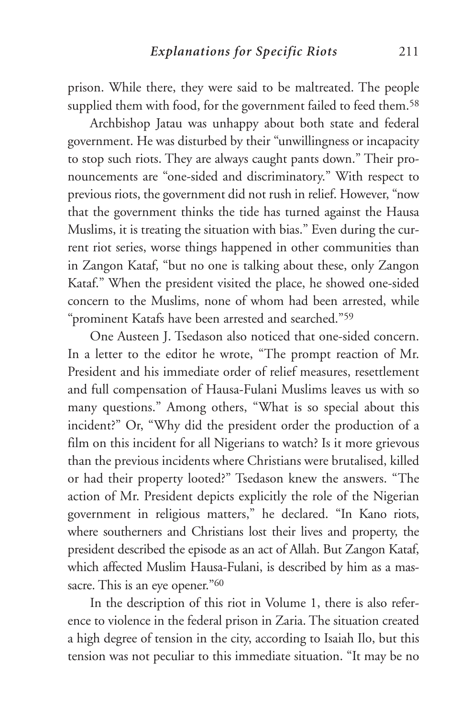prison. While there, they were said to be maltreated. The people supplied them with food, for the government failed to feed them.<sup>58</sup>

Archbishop Jatau was unhappy about both state and federal government. He was disturbed by their "unwillingness or incapacity to stop such riots. They are always caught pants down." Their pronouncements are "one-sided and discriminatory." With respect to previous riots, the government did not rush in relief. However, "now that the government thinks the tide has turned against the Hausa Muslims, it is treating the situation with bias." Even during the current riot series, worse things happened in other communities than in Zangon Kataf, "but no one is talking about these, only Zangon Kataf." When the president visited the place, he showed one-sided concern to the Muslims, none of whom had been arrested, while "prominent Katafs have been arrested and searched."59

One Austeen J. Tsedason also noticed that one-sided concern. In a letter to the editor he wrote, "The prompt reaction of Mr. President and his immediate order of relief measures, resettlement and full compensation of Hausa-Fulani Muslims leaves us with so many questions." Among others, "What is so special about this incident?" Or, "Why did the president order the production of a film on this incident for all Nigerians to watch? Is it more grievous than the previous incidents where Christians were brutalised, killed or had their property looted?" Tsedason knew the answers. "The action of Mr. President depicts explicitly the role of the Nigerian government in religious matters," he declared. "In Kano riots, where southerners and Christians lost their lives and property, the president described the episode as an act of Allah. But Zangon Kataf, which affected Muslim Hausa-Fulani, is described by him as a massacre. This is an eye opener."<sup>60</sup>

In the description of this riot in Volume 1, there is also reference to violence in the federal prison in Zaria. The situation created a high degree of tension in the city, according to Isaiah Ilo, but this tension was not peculiar to this immediate situation. "It may be no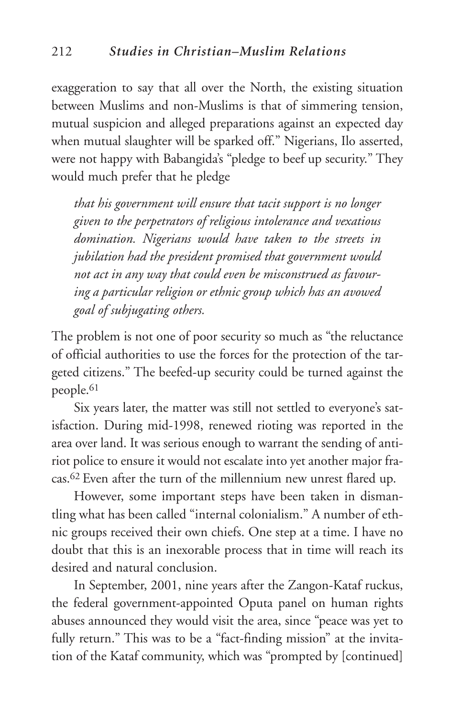exaggeration to say that all over the North, the existing situation between Muslims and non-Muslims is that of simmering tension, mutual suspicion and alleged preparations against an expected day when mutual slaughter will be sparked off." Nigerians, Ilo asserted, were not happy with Babangida's "pledge to beef up security." They would much prefer that he pledge

*that his government will ensure that tacit support is no longer given to the perpetrators of religious intolerance and vexatious domination. Nigerians would have taken to the streets in jubilation had the president promised that government would not act in any way that could even be misconstrued as favouring a particular religion or ethnic group which has an avowed goal of subjugating others.* 

The problem is not one of poor security so much as "the reluctance of official authorities to use the forces for the protection of the targeted citizens." The beefed-up security could be turned against the people.61

Six years later, the matter was still not settled to everyone's satisfaction. During mid-1998, renewed rioting was reported in the area over land. It was serious enough to warrant the sending of antiriot police to ensure it would not escalate into yet another major fracas.62 Even after the turn of the millennium new unrest flared up.

However, some important steps have been taken in dismantling what has been called "internal colonialism." A number of ethnic groups received their own chiefs. One step at a time. I have no doubt that this is an inexorable process that in time will reach its desired and natural conclusion.

In September, 2001, nine years after the Zangon-Kataf ruckus, the federal government-appointed Oputa panel on human rights abuses announced they would visit the area, since "peace was yet to fully return." This was to be a "fact-finding mission" at the invitation of the Kataf community, which was "prompted by [continued]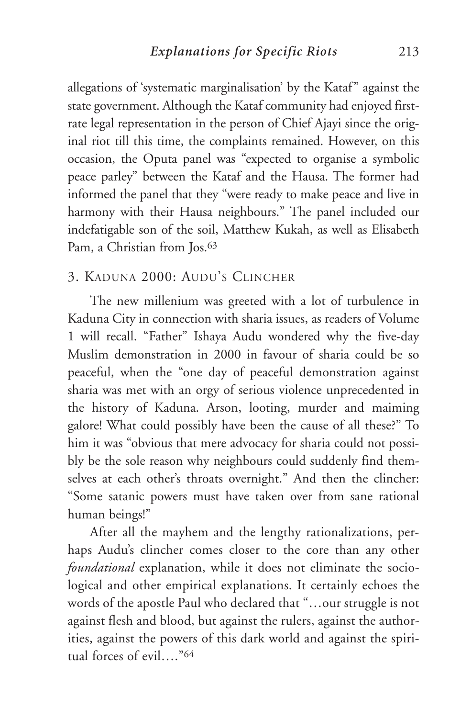allegations of 'systematic marginalisation' by the Kataf" against the state government. Although the Kataf community had enjoyed firstrate legal representation in the person of Chief Ajayi since the original riot till this time, the complaints remained. However, on this occasion, the Oputa panel was "expected to organise a symbolic peace parley" between the Kataf and the Hausa. The former had informed the panel that they "were ready to make peace and live in harmony with their Hausa neighbours." The panel included our indefatigable son of the soil, Matthew Kukah, as well as Elisabeth Pam, a Christian from Jos.<sup>63</sup>

## 3. KADUNA 2000: AUDU'S CLINCHER

The new millenium was greeted with a lot of turbulence in Kaduna City in connection with sharia issues, as readers of Volume 1 will recall. "Father" Ishaya Audu wondered why the five-day Muslim demonstration in 2000 in favour of sharia could be so peaceful, when the "one day of peaceful demonstration against sharia was met with an orgy of serious violence unprecedented in the history of Kaduna. Arson, looting, murder and maiming galore! What could possibly have been the cause of all these?" To him it was "obvious that mere advocacy for sharia could not possibly be the sole reason why neighbours could suddenly find themselves at each other's throats overnight." And then the clincher: "Some satanic powers must have taken over from sane rational human beings!"

After all the mayhem and the lengthy rationalizations, perhaps Audu's clincher comes closer to the core than any other *foundational* explanation, while it does not eliminate the sociological and other empirical explanations. It certainly echoes the words of the apostle Paul who declared that "…our struggle is not against flesh and blood, but against the rulers, against the authorities, against the powers of this dark world and against the spiritual forces of evil…."64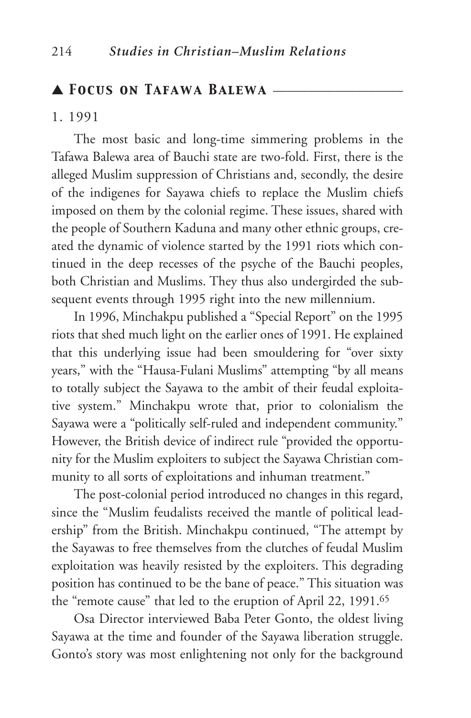#### ▲ *Focus on Tafawa Balewa* \_\_\_\_\_\_\_\_\_\_\_\_\_\_\_\_\_\_\_

#### 1. 1991

The most basic and long-time simmering problems in the Tafawa Balewa area of Bauchi state are two-fold. First, there is the alleged Muslim suppression of Christians and, secondly, the desire of the indigenes for Sayawa chiefs to replace the Muslim chiefs imposed on them by the colonial regime. These issues, shared with the people of Southern Kaduna and many other ethnic groups, created the dynamic of violence started by the 1991 riots which continued in the deep recesses of the psyche of the Bauchi peoples, both Christian and Muslims. They thus also undergirded the subsequent events through 1995 right into the new millennium.

In 1996, Minchakpu published a "Special Report" on the 1995 riots that shed much light on the earlier ones of 1991. He explained that this underlying issue had been smouldering for "over sixty years," with the "Hausa-Fulani Muslims" attempting "by all means to totally subject the Sayawa to the ambit of their feudal exploitative system." Minchakpu wrote that, prior to colonialism the Sayawa were a "politically self-ruled and independent community." However, the British device of indirect rule "provided the opportunity for the Muslim exploiters to subject the Sayawa Christian community to all sorts of exploitations and inhuman treatment."

The post-colonial period introduced no changes in this regard, since the "Muslim feudalists received the mantle of political leadership" from the British. Minchakpu continued, "The attempt by the Sayawas to free themselves from the clutches of feudal Muslim exploitation was heavily resisted by the exploiters. This degrading position has continued to be the bane of peace." This situation was the "remote cause" that led to the eruption of April 22, 1991.65

Osa Director interviewed Baba Peter Gonto, the oldest living Sayawa at the time and founder of the Sayawa liberation struggle. Gonto's story was most enlightening not only for the background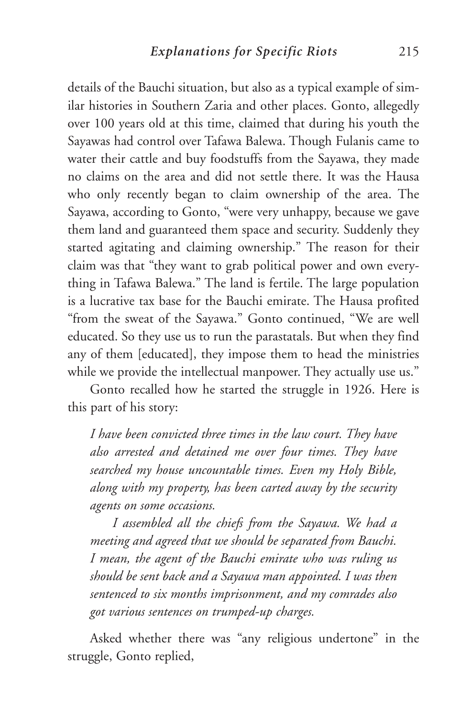details of the Bauchi situation, but also as a typical example of similar histories in Southern Zaria and other places. Gonto, allegedly over 100 years old at this time, claimed that during his youth the Sayawas had control over Tafawa Balewa. Though Fulanis came to water their cattle and buy foodstuffs from the Sayawa, they made no claims on the area and did not settle there. It was the Hausa who only recently began to claim ownership of the area. The Sayawa, according to Gonto, "were very unhappy, because we gave them land and guaranteed them space and security. Suddenly they started agitating and claiming ownership." The reason for their claim was that "they want to grab political power and own everything in Tafawa Balewa." The land is fertile. The large population is a lucrative tax base for the Bauchi emirate. The Hausa profited "from the sweat of the Sayawa." Gonto continued, "We are well educated. So they use us to run the parastatals. But when they find any of them [educated], they impose them to head the ministries while we provide the intellectual manpower. They actually use us."

Gonto recalled how he started the struggle in 1926. Here is this part of his story:

*I have been convicted three times in the law court. They have also arrested and detained me over four times. They have searched my house uncountable times. Even my Holy Bible, along with my property, has been carted away by the security agents on some occasions.* 

*I assembled all the chiefs from the Sayawa. We had a meeting and agreed that we should be separated from Bauchi. I mean, the agent of the Bauchi emirate who was ruling us should be sent back and a Sayawa man appointed. I was then sentenced to six months imprisonment, and my comrades also got various sentences on trumped-up charges.*

Asked whether there was "any religious undertone" in the struggle, Gonto replied,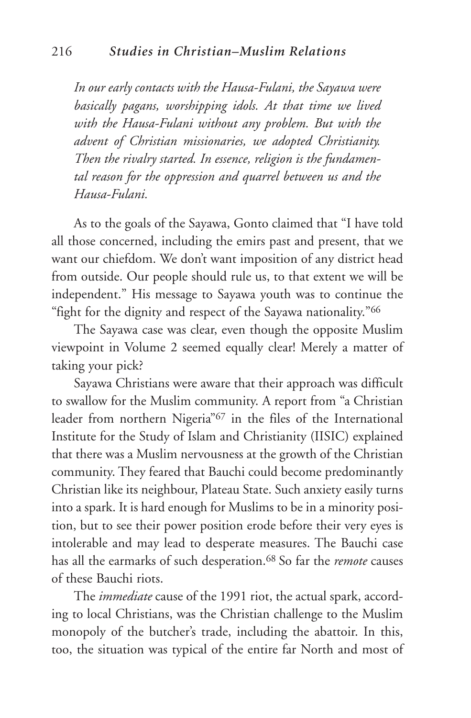*In our early contacts with the Hausa-Fulani, the Sayawa were basically pagans, worshipping idols. At that time we lived with the Hausa-Fulani without any problem. But with the advent of Christian missionaries, we adopted Christianity. Then the rivalry started. In essence, religion is the fundamental reason for the oppression and quarrel between us and the Hausa-Fulani.*

As to the goals of the Sayawa, Gonto claimed that "I have told all those concerned, including the emirs past and present, that we want our chiefdom. We don't want imposition of any district head from outside. Our people should rule us, to that extent we will be independent." His message to Sayawa youth was to continue the "fight for the dignity and respect of the Sayawa nationality."66

The Sayawa case was clear, even though the opposite Muslim viewpoint in Volume 2 seemed equally clear! Merely a matter of taking your pick?

Sayawa Christians were aware that their approach was difficult to swallow for the Muslim community. A report from "a Christian leader from northern Nigeria"67 in the files of the International Institute for the Study of Islam and Christianity (IISIC) explained that there was a Muslim nervousness at the growth of the Christian community. They feared that Bauchi could become predominantly Christian like its neighbour, Plateau State. Such anxiety easily turns into a spark. It is hard enough for Muslims to be in a minority position, but to see their power position erode before their very eyes is intolerable and may lead to desperate measures. The Bauchi case has all the earmarks of such desperation.68 So far the *remote* causes of these Bauchi riots.

The *immediate* cause of the 1991 riot, the actual spark, according to local Christians, was the Christian challenge to the Muslim monopoly of the butcher's trade, including the abattoir. In this, too, the situation was typical of the entire far North and most of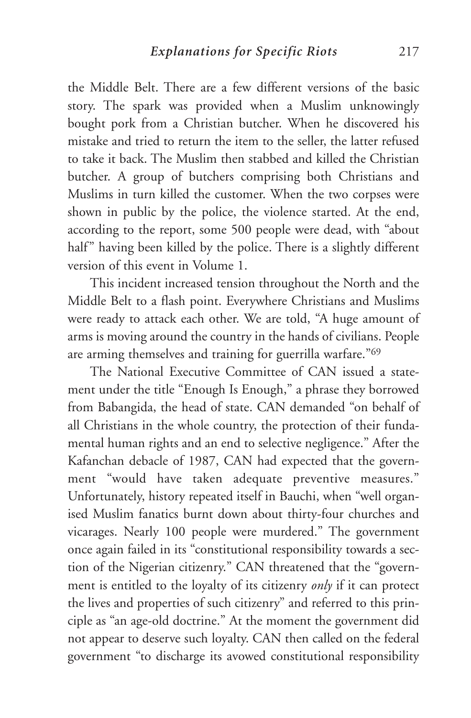the Middle Belt. There are a few different versions of the basic story. The spark was provided when a Muslim unknowingly bought pork from a Christian butcher. When he discovered his mistake and tried to return the item to the seller, the latter refused to take it back. The Muslim then stabbed and killed the Christian butcher. A group of butchers comprising both Christians and Muslims in turn killed the customer. When the two corpses were shown in public by the police, the violence started. At the end, according to the report, some 500 people were dead, with "about half" having been killed by the police. There is a slightly different version of this event in Volume 1.

This incident increased tension throughout the North and the Middle Belt to a flash point. Everywhere Christians and Muslims were ready to attack each other. We are told, "A huge amount of arms is moving around the country in the hands of civilians. People are arming themselves and training for guerrilla warfare."69

The National Executive Committee of CAN issued a statement under the title "Enough Is Enough," a phrase they borrowed from Babangida, the head of state. CAN demanded "on behalf of all Christians in the whole country, the protection of their fundamental human rights and an end to selective negligence." After the Kafanchan debacle of 1987, CAN had expected that the government "would have taken adequate preventive measures." Unfortunately, history repeated itself in Bauchi, when "well organised Muslim fanatics burnt down about thirty-four churches and vicarages. Nearly 100 people were murdered." The government once again failed in its "constitutional responsibility towards a section of the Nigerian citizenry." CAN threatened that the "government is entitled to the loyalty of its citizenry *only* if it can protect the lives and properties of such citizenry" and referred to this principle as "an age-old doctrine." At the moment the government did not appear to deserve such loyalty. CAN then called on the federal government "to discharge its avowed constitutional responsibility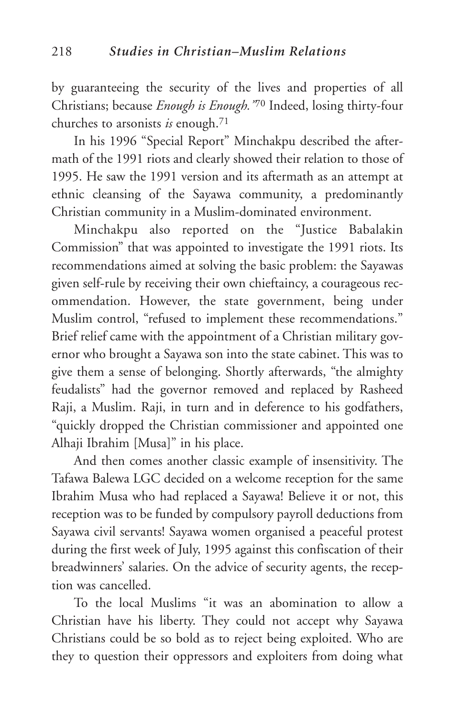by guaranteeing the security of the lives and properties of all Christians; because *Enough is Enough."*<sup>70</sup> Indeed, losing thirty-four churches to arsonists *is* enough.71

In his 1996 "Special Report" Minchakpu described the aftermath of the 1991 riots and clearly showed their relation to those of 1995. He saw the 1991 version and its aftermath as an attempt at ethnic cleansing of the Sayawa community, a predominantly Christian community in a Muslim-dominated environment.

Minchakpu also reported on the "Justice Babalakin Commission" that was appointed to investigate the 1991 riots. Its recommendations aimed at solving the basic problem: the Sayawas given self-rule by receiving their own chieftaincy, a courageous recommendation. However, the state government, being under Muslim control, "refused to implement these recommendations." Brief relief came with the appointment of a Christian military governor who brought a Sayawa son into the state cabinet. This was to give them a sense of belonging. Shortly afterwards, "the almighty feudalists" had the governor removed and replaced by Rasheed Raji, a Muslim. Raji, in turn and in deference to his godfathers, "quickly dropped the Christian commissioner and appointed one Alhaji Ibrahim [Musa]" in his place.

And then comes another classic example of insensitivity. The Tafawa Balewa LGC decided on a welcome reception for the same Ibrahim Musa who had replaced a Sayawa! Believe it or not, this reception was to be funded by compulsory payroll deductions from Sayawa civil servants! Sayawa women organised a peaceful protest during the first week of July, 1995 against this confiscation of their breadwinners' salaries. On the advice of security agents, the reception was cancelled.

To the local Muslims "it was an abomination to allow a Christian have his liberty. They could not accept why Sayawa Christians could be so bold as to reject being exploited. Who are they to question their oppressors and exploiters from doing what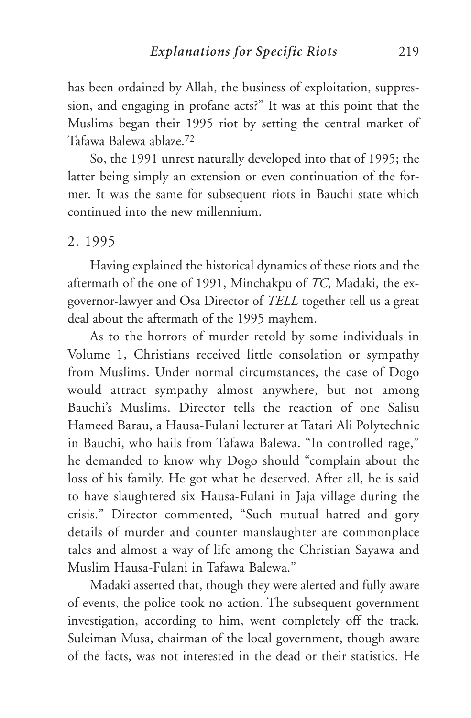has been ordained by Allah, the business of exploitation, suppression, and engaging in profane acts?" It was at this point that the Muslims began their 1995 riot by setting the central market of Tafawa Balewa ablaze.72

So, the 1991 unrest naturally developed into that of 1995; the latter being simply an extension or even continuation of the former. It was the same for subsequent riots in Bauchi state which continued into the new millennium.

## 2. 1995

Having explained the historical dynamics of these riots and the aftermath of the one of 1991, Minchakpu of *TC*, Madaki, the exgovernor-lawyer and Osa Director of *TELL* together tell us a great deal about the aftermath of the 1995 mayhem.

As to the horrors of murder retold by some individuals in Volume 1, Christians received little consolation or sympathy from Muslims. Under normal circumstances, the case of Dogo would attract sympathy almost anywhere, but not among Bauchi's Muslims. Director tells the reaction of one Salisu Hameed Barau, a Hausa-Fulani lecturer at Tatari Ali Polytechnic in Bauchi, who hails from Tafawa Balewa. "In controlled rage," he demanded to know why Dogo should "complain about the loss of his family. He got what he deserved. After all, he is said to have slaughtered six Hausa-Fulani in Jaja village during the crisis." Director commented, "Such mutual hatred and gory details of murder and counter manslaughter are commonplace tales and almost a way of life among the Christian Sayawa and Muslim Hausa-Fulani in Tafawa Balewa."

Madaki asserted that, though they were alerted and fully aware of events, the police took no action. The subsequent government investigation, according to him, went completely off the track. Suleiman Musa, chairman of the local government, though aware of the facts, was not interested in the dead or their statistics. He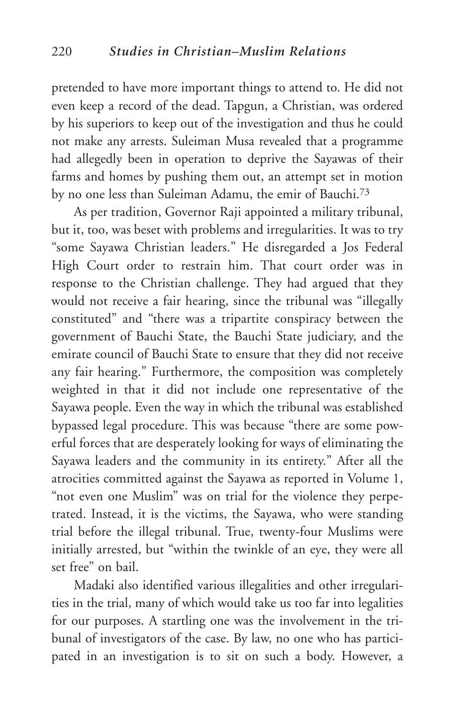pretended to have more important things to attend to. He did not even keep a record of the dead. Tapgun, a Christian, was ordered by his superiors to keep out of the investigation and thus he could not make any arrests. Suleiman Musa revealed that a programme had allegedly been in operation to deprive the Sayawas of their farms and homes by pushing them out, an attempt set in motion by no one less than Suleiman Adamu, the emir of Bauchi.73

As per tradition, Governor Raji appointed a military tribunal, but it, too, was beset with problems and irregularities. It was to try "some Sayawa Christian leaders." He disregarded a Jos Federal High Court order to restrain him. That court order was in response to the Christian challenge. They had argued that they would not receive a fair hearing, since the tribunal was "illegally constituted" and "there was a tripartite conspiracy between the government of Bauchi State, the Bauchi State judiciary, and the emirate council of Bauchi State to ensure that they did not receive any fair hearing." Furthermore, the composition was completely weighted in that it did not include one representative of the Sayawa people. Even the way in which the tribunal was established bypassed legal procedure. This was because "there are some powerful forces that are desperately looking for ways of eliminating the Sayawa leaders and the community in its entirety." After all the atrocities committed against the Sayawa as reported in Volume 1, "not even one Muslim" was on trial for the violence they perpetrated. Instead, it is the victims, the Sayawa, who were standing trial before the illegal tribunal. True, twenty-four Muslims were initially arrested, but "within the twinkle of an eye, they were all set free" on bail.

Madaki also identified various illegalities and other irregularities in the trial, many of which would take us too far into legalities for our purposes. A startling one was the involvement in the tribunal of investigators of the case. By law, no one who has participated in an investigation is to sit on such a body. However, a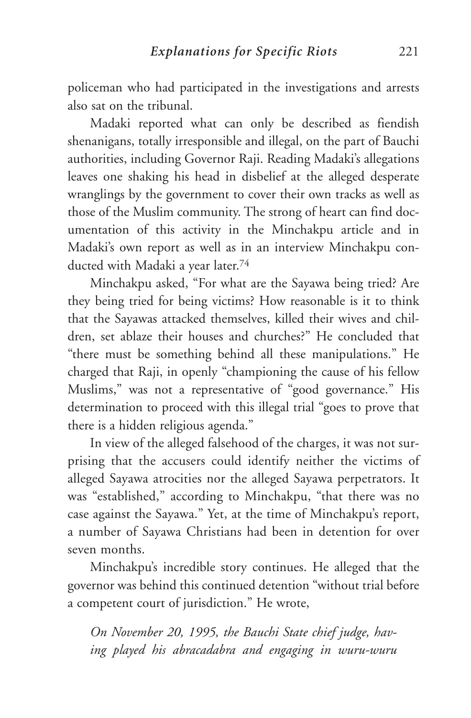policeman who had participated in the investigations and arrests also sat on the tribunal.

Madaki reported what can only be described as fiendish shenanigans, totally irresponsible and illegal, on the part of Bauchi authorities, including Governor Raji. Reading Madaki's allegations leaves one shaking his head in disbelief at the alleged desperate wranglings by the government to cover their own tracks as well as those of the Muslim community. The strong of heart can find documentation of this activity in the Minchakpu article and in Madaki's own report as well as in an interview Minchakpu conducted with Madaki a year later.74

Minchakpu asked, "For what are the Sayawa being tried? Are they being tried for being victims? How reasonable is it to think that the Sayawas attacked themselves, killed their wives and children, set ablaze their houses and churches?" He concluded that "there must be something behind all these manipulations." He charged that Raji, in openly "championing the cause of his fellow Muslims," was not a representative of "good governance." His determination to proceed with this illegal trial "goes to prove that there is a hidden religious agenda."

In view of the alleged falsehood of the charges, it was not surprising that the accusers could identify neither the victims of alleged Sayawa atrocities nor the alleged Sayawa perpetrators. It was "established," according to Minchakpu, "that there was no case against the Sayawa." Yet, at the time of Minchakpu's report, a number of Sayawa Christians had been in detention for over seven months.

Minchakpu's incredible story continues. He alleged that the governor was behind this continued detention "without trial before a competent court of jurisdiction." He wrote,

*On November 20, 1995, the Bauchi State chief judge, having played his abracadabra and engaging in wuru-wuru*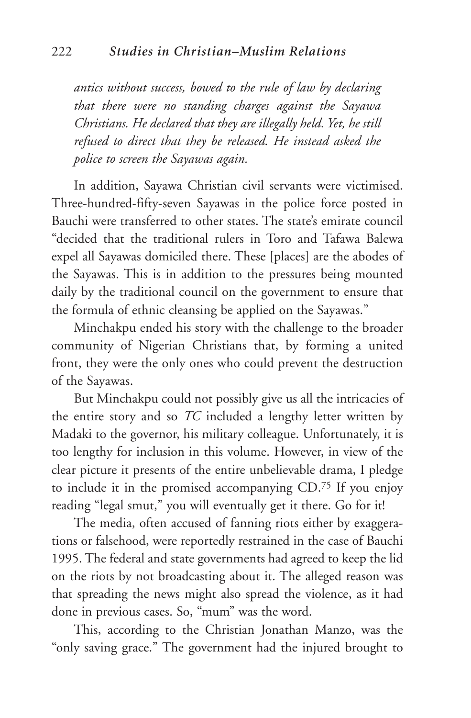*antics without success, bowed to the rule of law by declaring that there were no standing charges against the Sayawa Christians. He declared that they are illegally held. Yet, he still refused to direct that they be released. He instead asked the police to screen the Sayawas again.* 

In addition, Sayawa Christian civil servants were victimised. Three-hundred-fifty-seven Sayawas in the police force posted in Bauchi were transferred to other states. The state's emirate council "decided that the traditional rulers in Toro and Tafawa Balewa expel all Sayawas domiciled there. These [places] are the abodes of the Sayawas. This is in addition to the pressures being mounted daily by the traditional council on the government to ensure that the formula of ethnic cleansing be applied on the Sayawas."

Minchakpu ended his story with the challenge to the broader community of Nigerian Christians that, by forming a united front, they were the only ones who could prevent the destruction of the Sayawas.

But Minchakpu could not possibly give us all the intricacies of the entire story and so *TC* included a lengthy letter written by Madaki to the governor, his military colleague. Unfortunately, it is too lengthy for inclusion in this volume. However, in view of the clear picture it presents of the entire unbelievable drama, I pledge to include it in the promised accompanying CD.75 If you enjoy reading "legal smut," you will eventually get it there. Go for it!

The media, often accused of fanning riots either by exaggerations or falsehood, were reportedly restrained in the case of Bauchi 1995. The federal and state governments had agreed to keep the lid on the riots by not broadcasting about it. The alleged reason was that spreading the news might also spread the violence, as it had done in previous cases. So, "mum" was the word.

This, according to the Christian Jonathan Manzo, was the "only saving grace." The government had the injured brought to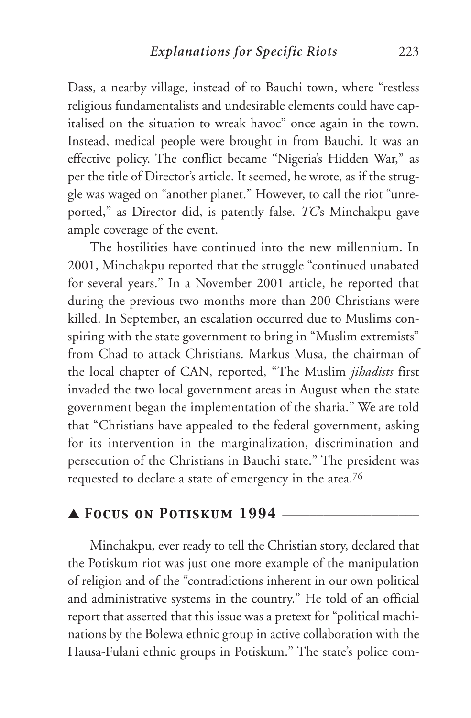Dass, a nearby village, instead of to Bauchi town, where "restless religious fundamentalists and undesirable elements could have capitalised on the situation to wreak havoc" once again in the town. Instead, medical people were brought in from Bauchi. It was an effective policy. The conflict became "Nigeria's Hidden War," as per the title of Director's article. It seemed, he wrote, as if the struggle was waged on "another planet." However, to call the riot "unreported," as Director did, is patently false. *TC*'s Minchakpu gave ample coverage of the event.

The hostilities have continued into the new millennium. In 2001, Minchakpu reported that the struggle "continued unabated for several years." In a November 2001 article, he reported that during the previous two months more than 200 Christians were killed. In September, an escalation occurred due to Muslims conspiring with the state government to bring in "Muslim extremists" from Chad to attack Christians. Markus Musa, the chairman of the local chapter of CAN, reported, "The Muslim *jihadists* first invaded the two local government areas in August when the state government began the implementation of the sharia." We are told that "Christians have appealed to the federal government, asking for its intervention in the marginalization, discrimination and persecution of the Christians in Bauchi state." The president was requested to declare a state of emergency in the area.76

## ▲ *Focus on Potiskum 1994* \_\_\_\_\_\_\_\_\_\_\_\_\_\_\_\_\_\_\_\_

Minchakpu, ever ready to tell the Christian story, declared that the Potiskum riot was just one more example of the manipulation of religion and of the "contradictions inherent in our own political and administrative systems in the country." He told of an official report that asserted that this issue was a pretext for "political machinations by the Bolewa ethnic group in active collaboration with the Hausa-Fulani ethnic groups in Potiskum." The state's police com-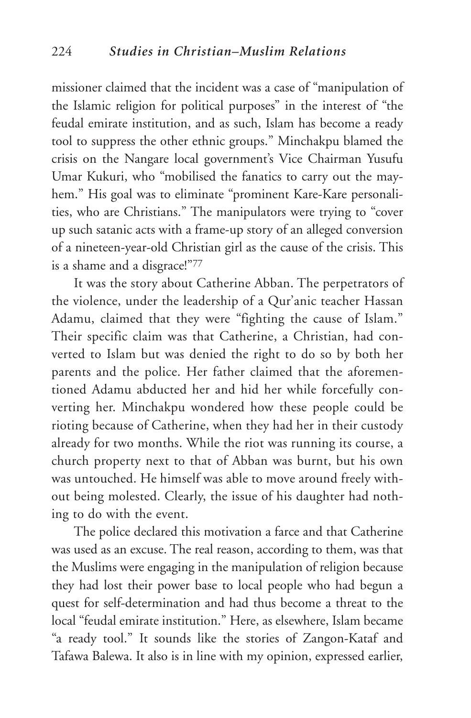missioner claimed that the incident was a case of "manipulation of the Islamic religion for political purposes" in the interest of "the feudal emirate institution, and as such, Islam has become a ready tool to suppress the other ethnic groups." Minchakpu blamed the crisis on the Nangare local government's Vice Chairman Yusufu Umar Kukuri, who "mobilised the fanatics to carry out the mayhem." His goal was to eliminate "prominent Kare-Kare personalities, who are Christians." The manipulators were trying to "cover up such satanic acts with a frame-up story of an alleged conversion of a nineteen-year-old Christian girl as the cause of the crisis. This is a shame and a disgrace!"77

It was the story about Catherine Abban. The perpetrators of the violence, under the leadership of a Qur'anic teacher Hassan Adamu, claimed that they were "fighting the cause of Islam." Their specific claim was that Catherine, a Christian, had converted to Islam but was denied the right to do so by both her parents and the police. Her father claimed that the aforementioned Adamu abducted her and hid her while forcefully converting her. Minchakpu wondered how these people could be rioting because of Catherine, when they had her in their custody already for two months. While the riot was running its course, a church property next to that of Abban was burnt, but his own was untouched. He himself was able to move around freely without being molested. Clearly, the issue of his daughter had nothing to do with the event.

The police declared this motivation a farce and that Catherine was used as an excuse. The real reason, according to them, was that the Muslims were engaging in the manipulation of religion because they had lost their power base to local people who had begun a quest for self-determination and had thus become a threat to the local "feudal emirate institution." Here, as elsewhere, Islam became "a ready tool." It sounds like the stories of Zangon-Kataf and Tafawa Balewa. It also is in line with my opinion, expressed earlier,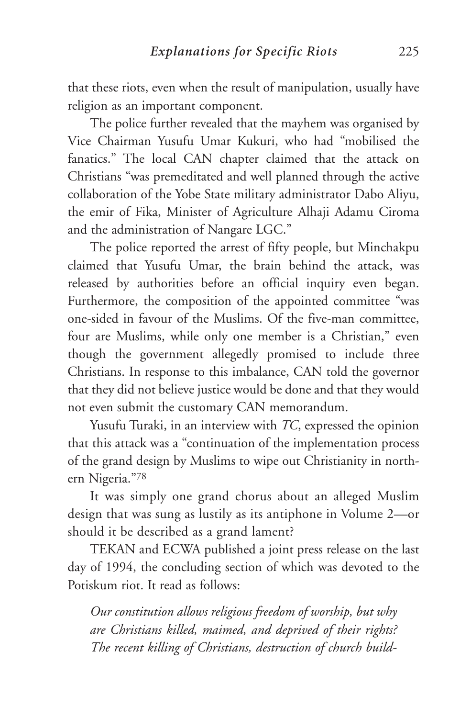that these riots, even when the result of manipulation, usually have religion as an important component.

The police further revealed that the mayhem was organised by Vice Chairman Yusufu Umar Kukuri, who had "mobilised the fanatics." The local CAN chapter claimed that the attack on Christians "was premeditated and well planned through the active collaboration of the Yobe State military administrator Dabo Aliyu, the emir of Fika, Minister of Agriculture Alhaji Adamu Ciroma and the administration of Nangare LGC."

The police reported the arrest of fifty people, but Minchakpu claimed that Yusufu Umar, the brain behind the attack, was released by authorities before an official inquiry even began. Furthermore, the composition of the appointed committee "was one-sided in favour of the Muslims. Of the five-man committee, four are Muslims, while only one member is a Christian," even though the government allegedly promised to include three Christians. In response to this imbalance, CAN told the governor that they did not believe justice would be done and that they would not even submit the customary CAN memorandum.

Yusufu Turaki, in an interview with *TC*, expressed the opinion that this attack was a "continuation of the implementation process of the grand design by Muslims to wipe out Christianity in northern Nigeria."78

It was simply one grand chorus about an alleged Muslim design that was sung as lustily as its antiphone in Volume 2—or should it be described as a grand lament?

TEKAN and ECWA published a joint press release on the last day of 1994, the concluding section of which was devoted to the Potiskum riot. It read as follows:

*Our constitution allows religious freedom of worship, but why are Christians killed, maimed, and deprived of their rights? The recent killing of Christians, destruction of church build-*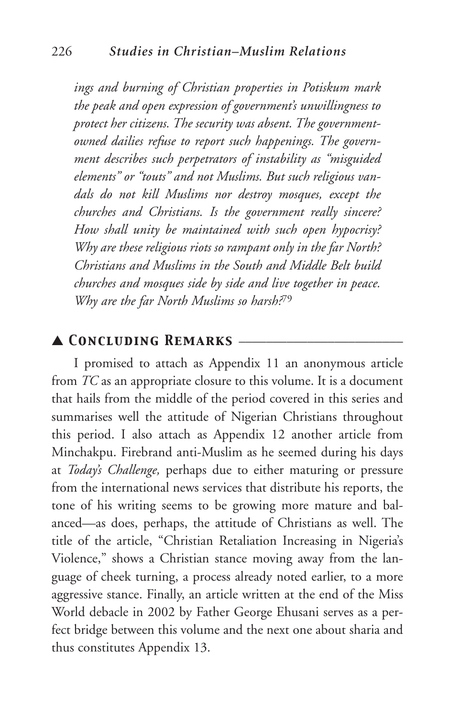*ings and burning of Christian properties in Potiskum mark the peak and open expression of government's unwillingness to protect her citizens. The security was absent. The governmentowned dailies refuse to report such happenings. The government describes such perpetrators of instability as "misguided elements" or "touts" and not Muslims. But such religious vandals do not kill Muslims nor destroy mosques, except the churches and Christians. Is the government really sincere? How shall unity be maintained with such open hypocrisy? Why are these religious riots so rampant only in the far North? Christians and Muslims in the South and Middle Belt build churches and mosques side by side and live together in peace. Why are the far North Muslims so harsh?*<sup>79</sup>

## ▲ *Concluding Remarks* \_\_\_\_\_\_\_\_\_\_\_\_\_\_\_\_\_\_\_\_\_\_\_\_

I promised to attach as Appendix 11 an anonymous article from *TC* as an appropriate closure to this volume. It is a document that hails from the middle of the period covered in this series and summarises well the attitude of Nigerian Christians throughout this period. I also attach as Appendix 12 another article from Minchakpu. Firebrand anti-Muslim as he seemed during his days at *Today's Challenge,* perhaps due to either maturing or pressure from the international news services that distribute his reports, the tone of his writing seems to be growing more mature and balanced—as does, perhaps, the attitude of Christians as well. The title of the article, "Christian Retaliation Increasing in Nigeria's Violence," shows a Christian stance moving away from the language of cheek turning, a process already noted earlier, to a more aggressive stance. Finally, an article written at the end of the Miss World debacle in 2002 by Father George Ehusani serves as a perfect bridge between this volume and the next one about sharia and thus constitutes Appendix 13.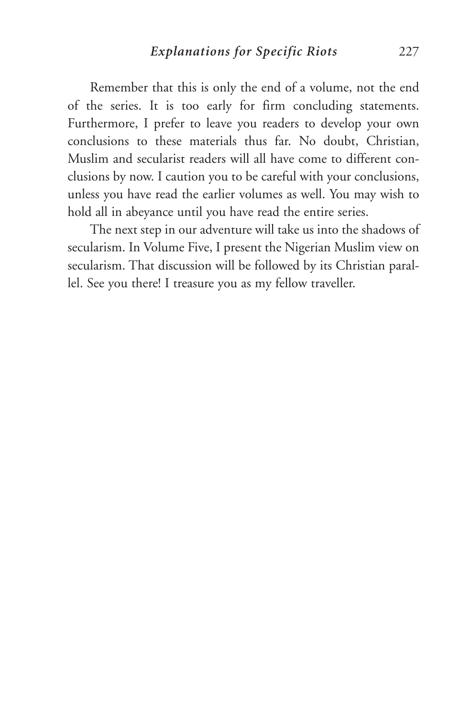Remember that this is only the end of a volume, not the end of the series. It is too early for firm concluding statements. Furthermore, I prefer to leave you readers to develop your own conclusions to these materials thus far. No doubt, Christian, Muslim and secularist readers will all have come to different conclusions by now. I caution you to be careful with your conclusions, unless you have read the earlier volumes as well. You may wish to hold all in abeyance until you have read the entire series.

The next step in our adventure will take us into the shadows of secularism. In Volume Five, I present the Nigerian Muslim view on secularism. That discussion will be followed by its Christian parallel. See you there! I treasure you as my fellow traveller.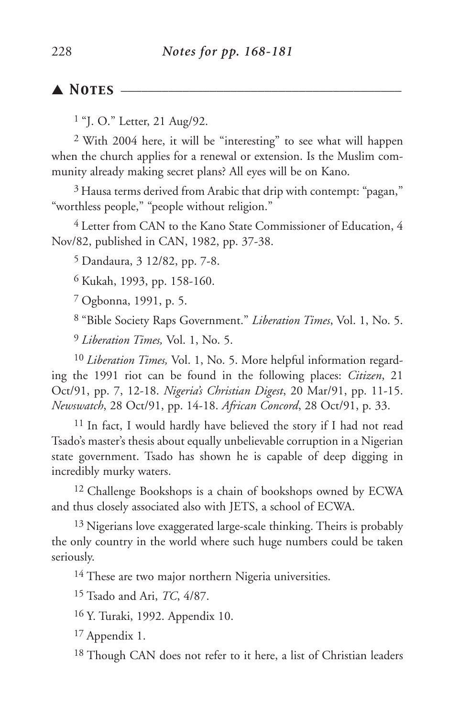## ▲ *Notes* \_\_\_\_\_\_\_\_\_\_\_\_\_\_\_\_\_\_\_\_\_\_\_\_\_\_\_\_\_\_\_\_\_\_\_\_\_\_\_\_\_

<sup>1</sup> "J. O." Letter, 21 Aug/92.

2 With 2004 here, it will be "interesting" to see what will happen when the church applies for a renewal or extension. Is the Muslim community already making secret plans? All eyes will be on Kano.

3 Hausa terms derived from Arabic that drip with contempt: "pagan," "worthless people," "people without religion."

4 Letter from CAN to the Kano State Commissioner of Education, 4 Nov/82, published in CAN, 1982, pp. 37-38.

5 Dandaura, 3 12/82, pp. 7-8.

6 Kukah, 1993, pp. 158-160.

7 Ogbonna, 1991, p. 5.

8 "Bible Society Raps Government." *Liberation Times*, Vol. 1, No. 5.

9 *Liberation Times,* Vol. 1, No. 5.

10 *Liberation Times,* Vol. 1, No. 5. More helpful information regarding the 1991 riot can be found in the following places: *Citizen*, 21 Oct/91, pp. 7, 12-18. *Nigeria's Christian Digest*, 20 Mar/91, pp. 11-15. *Newswatch*, 28 Oct/91, pp. 14-18. *African Concord*, 28 Oct/91, p. 33.

11 In fact, I would hardly have believed the story if I had not read Tsado's master's thesis about equally unbelievable corruption in a Nigerian state government. Tsado has shown he is capable of deep digging in incredibly murky waters.

12 Challenge Bookshops is a chain of bookshops owned by ECWA and thus closely associated also with JETS, a school of ECWA.

<sup>13</sup> Nigerians love exaggerated large-scale thinking. Theirs is probably the only country in the world where such huge numbers could be taken seriously.

<sup>14</sup> These are two major northern Nigeria universities.

15 Tsado and Ari, *TC*, 4/87.

16 Y. Turaki, 1992. Appendix 10.

17 Appendix 1.

18 Though CAN does not refer to it here, a list of Christian leaders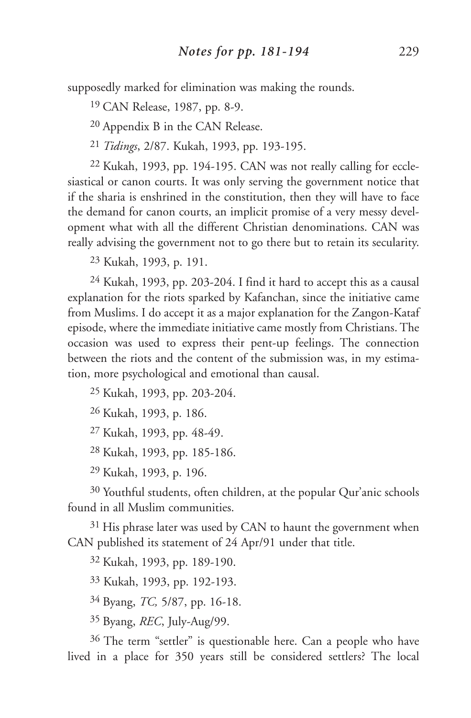supposedly marked for elimination was making the rounds.

19 CAN Release, 1987, pp. 8-9.

20 Appendix B in the CAN Release.

21 *Tidings*, 2/87. Kukah, 1993, pp. 193-195.

22 Kukah, 1993, pp. 194-195. CAN was not really calling for ecclesiastical or canon courts. It was only serving the government notice that if the sharia is enshrined in the constitution, then they will have to face the demand for canon courts, an implicit promise of a very messy development what with all the different Christian denominations. CAN was really advising the government not to go there but to retain its secularity.

23 Kukah, 1993, p. 191.

24 Kukah, 1993, pp. 203-204. I find it hard to accept this as a causal explanation for the riots sparked by Kafanchan, since the initiative came from Muslims. I do accept it as a major explanation for the Zangon-Kataf episode, where the immediate initiative came mostly from Christians. The occasion was used to express their pent-up feelings. The connection between the riots and the content of the submission was, in my estimation, more psychological and emotional than causal.

25 Kukah, 1993, pp. 203-204.

26 Kukah, 1993, p. 186.

27 Kukah, 1993, pp. 48-49.

28 Kukah, 1993, pp. 185-186.

29 Kukah, 1993, p. 196.

30 Youthful students, often children, at the popular Qur'anic schools found in all Muslim communities.

 $31$  His phrase later was used by CAN to haunt the government when CAN published its statement of 24 Apr/91 under that title.

32 Kukah, 1993, pp. 189-190.

33 Kukah, 1993, pp. 192-193.

34 Byang, *TC,* 5/87, pp. 16-18.

35 Byang, *REC*, July-Aug/99.

36 The term "settler" is questionable here. Can a people who have lived in a place for 350 years still be considered settlers? The local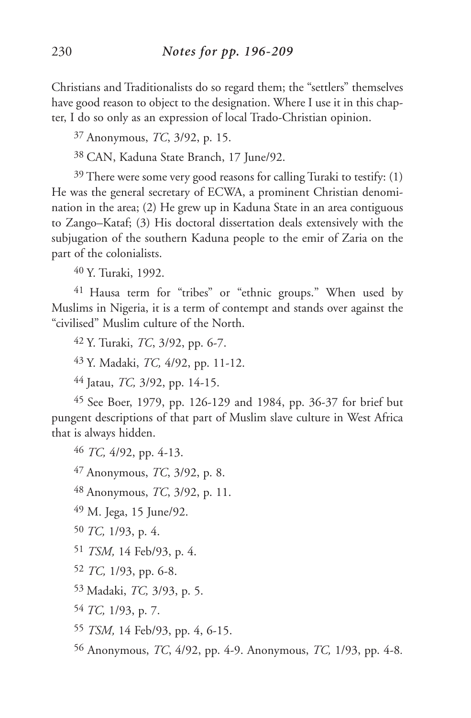Christians and Traditionalists do so regard them; the "settlers" themselves have good reason to object to the designation. Where I use it in this chapter, I do so only as an expression of local Trado-Christian opinion.

37 Anonymous, *TC*, 3/92, p. 15.

38 CAN, Kaduna State Branch, 17 June/92.

 $39$  There were some very good reasons for calling Turaki to testify: (1) He was the general secretary of ECWA, a prominent Christian denomination in the area; (2) He grew up in Kaduna State in an area contiguous to Zango–Kataf; (3) His doctoral dissertation deals extensively with the subjugation of the southern Kaduna people to the emir of Zaria on the part of the colonialists.

40 Y. Turaki, 1992.

41 Hausa term for "tribes" or "ethnic groups." When used by Muslims in Nigeria, it is a term of contempt and stands over against the "civilised" Muslim culture of the North.

42 Y. Turaki, *TC*, 3/92, pp. 6-7.

43 Y. Madaki, *TC,* 4/92, pp. 11-12.

44 Jatau, *TC,* 3/92, pp. 14-15.

45 See Boer, 1979, pp. 126-129 and 1984, pp. 36-37 for brief but pungent descriptions of that part of Muslim slave culture in West Africa that is always hidden.

46 *TC,* 4/92, pp. 4-13.

47 Anonymous, *TC*, 3/92, p. 8.

48 Anonymous, *TC*, 3/92, p. 11.

49 M. Jega, 15 June/92.

50 *TC,* 1/93, p. 4.

51 *TSM,* 14 Feb/93, p. 4.

52 *TC,* 1/93, pp. 6-8.

53 Madaki, *TC,* 3/93, p. 5.

54 *TC,* 1/93, p. 7.

55 *TSM,* 14 Feb/93, pp. 4, 6-15.

56 Anonymous, *TC*, 4/92, pp. 4-9. Anonymous, *TC,* 1/93, pp. 4-8*.*